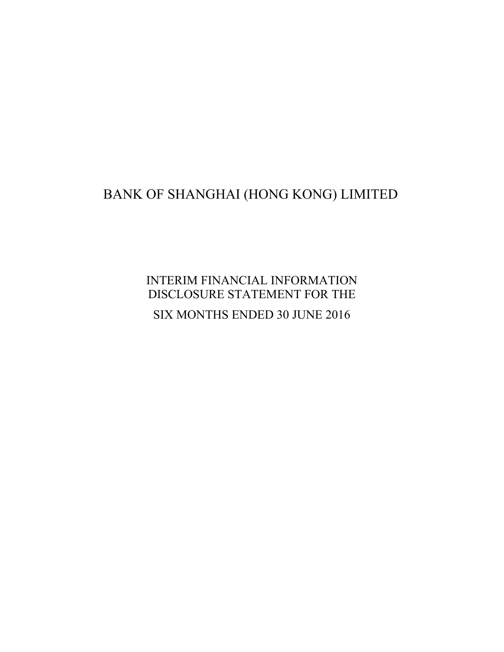# BANK OF SHANGHAI (HONG KONG) LIMITED

INTERIM FINANCIAL INFORMATION DISCLOSURE STATEMENT FOR THE SIX MONTHS ENDED 30 JUNE 2016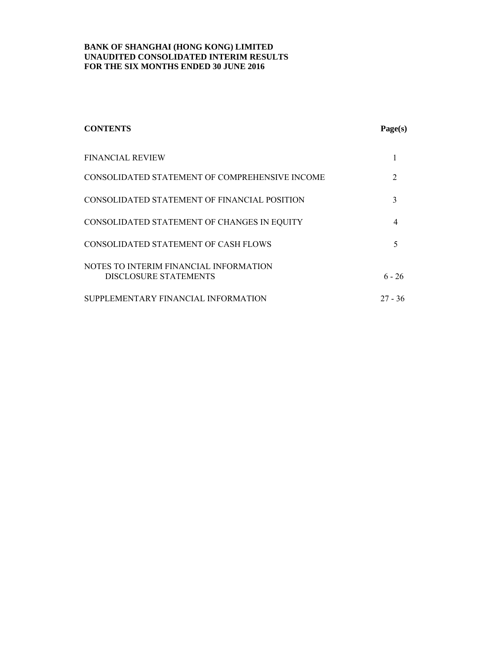| <b>CONTENTS</b>                                                 | Page(s)       |
|-----------------------------------------------------------------|---------------|
| <b>FINANCIAL REVIEW</b>                                         |               |
| CONSOLIDATED STATEMENT OF COMPREHENSIVE INCOME                  | $\mathcal{L}$ |
| CONSOLIDATED STATEMENT OF FINANCIAL POSITION                    | 3             |
| CONSOLIDATED STATEMENT OF CHANGES IN EQUITY                     | 4             |
| CONSOLIDATED STATEMENT OF CASH FLOWS                            | 5             |
| NOTES TO INTERIM FINANCIAL INFORMATION<br>DISCLOSURE STATEMENTS | $6 - 26$      |
| SUPPLEMENTARY FINANCIAL INFORMATION                             | $27 - 36$     |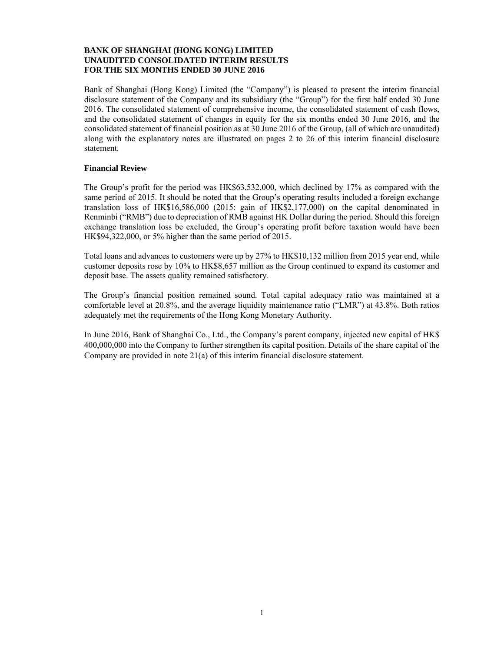Bank of Shanghai (Hong Kong) Limited (the "Company") is pleased to present the interim financial disclosure statement of the Company and its subsidiary (the "Group") for the first half ended 30 June 2016. The consolidated statement of comprehensive income, the consolidated statement of cash flows, and the consolidated statement of changes in equity for the six months ended 30 June 2016, and the consolidated statement of financial position as at 30 June 2016 of the Group, (all of which are unaudited) along with the explanatory notes are illustrated on pages 2 to 26 of this interim financial disclosure statement.

#### **Financial Review**

The Group's profit for the period was HK\$63,532,000, which declined by 17% as compared with the same period of 2015. It should be noted that the Group's operating results included a foreign exchange translation loss of HK\$16,586,000 (2015: gain of HK\$2,177,000) on the capital denominated in Renminbi ("RMB") due to depreciation of RMB against HK Dollar during the period. Should this foreign exchange translation loss be excluded, the Group's operating profit before taxation would have been HK\$94,322,000, or 5% higher than the same period of 2015.

Total loans and advances to customers were up by 27% to HK\$10,132 million from 2015 year end, while customer deposits rose by 10% to HK\$8,657 million as the Group continued to expand its customer and deposit base. The assets quality remained satisfactory.

The Group's financial position remained sound. Total capital adequacy ratio was maintained at a comfortable level at 20.8%, and the average liquidity maintenance ratio ("LMR") at 43.8%. Both ratios adequately met the requirements of the Hong Kong Monetary Authority.

In June 2016, Bank of Shanghai Co., Ltd., the Company's parent company, injected new capital of HK\$ 400,000,000 into the Company to further strengthen its capital position. Details of the share capital of the Company are provided in note 21(a) of this interim financial disclosure statement.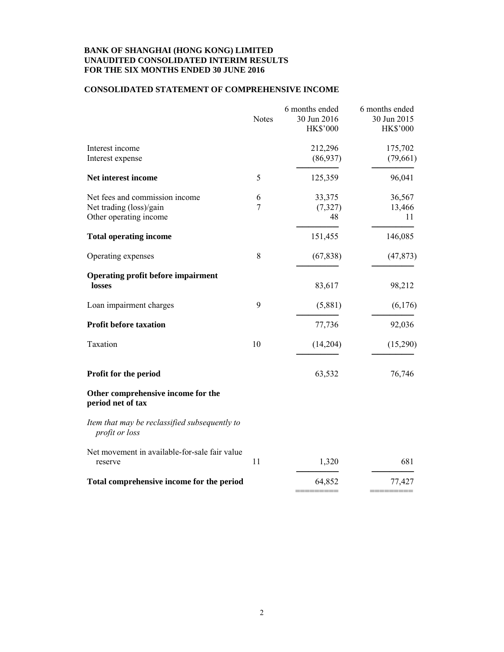#### **CONSOLIDATED STATEMENT OF COMPREHENSIVE INCOME**

| <b>Notes</b> | 6 months ended<br>30 Jun 2016<br><b>HK\$'000</b> | 6 months ended<br>30 Jun 2015<br><b>HK\$'000</b> |
|--------------|--------------------------------------------------|--------------------------------------------------|
|              | 212,296<br>(86,937)                              | 175,702<br>(79,661)                              |
| 5            | 125,359                                          | 96,041                                           |
| 6<br>$\tau$  | 33,375<br>(7, 327)<br>48                         | 36,567<br>13,466<br>11                           |
|              | 151,455                                          | 146,085                                          |
| 8            | (67, 838)                                        | (47, 873)                                        |
|              | 83,617                                           | 98,212                                           |
| 9            | (5,881)                                          | (6,176)                                          |
|              | 77,736                                           | 92,036                                           |
| 10           | (14,204)                                         | (15,290)                                         |
|              | 63,532                                           | 76,746                                           |
|              |                                                  |                                                  |
|              |                                                  |                                                  |
| 11           | 1,320                                            | 681                                              |
|              | 64,852                                           | 77,427                                           |
|              |                                                  |                                                  |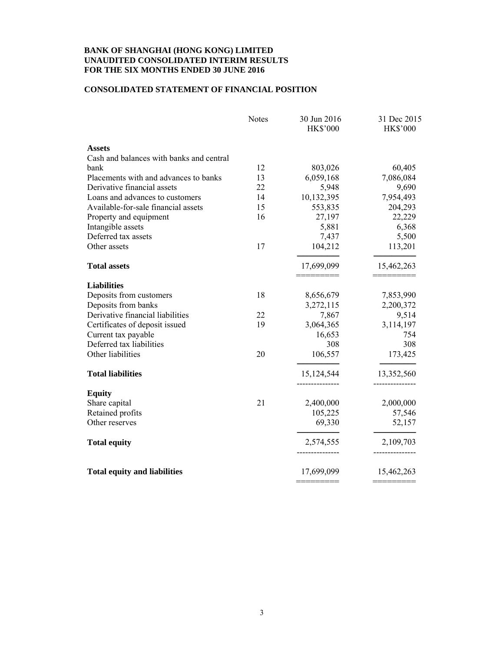#### **CONSOLIDATED STATEMENT OF FINANCIAL POSITION**

|                                          | <b>Notes</b> | 30 Jun 2016<br><b>HK\$'000</b> | 31 Dec 2015<br><b>HK\$'000</b> |
|------------------------------------------|--------------|--------------------------------|--------------------------------|
| <b>Assets</b>                            |              |                                |                                |
| Cash and balances with banks and central |              |                                |                                |
| bank                                     | 12           | 803,026                        | 60,405                         |
| Placements with and advances to banks    | 13           | 6,059,168                      | 7,086,084                      |
| Derivative financial assets              | 22           | 5,948                          | 9,690                          |
| Loans and advances to customers          | 14           | 10,132,395                     | 7,954,493                      |
| Available-for-sale financial assets      | 15           | 553,835                        | 204,293                        |
| Property and equipment                   | 16           | 27,197                         | 22,229                         |
| Intangible assets                        |              | 5,881                          | 6,368                          |
| Deferred tax assets                      |              | 7,437                          | 5,500                          |
| Other assets                             | 17           | 104,212                        | 113,201                        |
| <b>Total assets</b>                      |              | 17,699,099                     | 15,462,263                     |
| <b>Liabilities</b>                       |              |                                |                                |
| Deposits from customers                  | 18           | 8,656,679                      | 7,853,990                      |
| Deposits from banks                      |              | 3,272,115                      | 2,200,372                      |
| Derivative financial liabilities         | 22           | 7,867                          | 9,514                          |
| Certificates of deposit issued           | 19           | 3,064,365                      | 3,114,197                      |
| Current tax payable                      |              | 16,653                         | 754                            |
| Deferred tax liabilities                 |              | 308                            | 308                            |
| Other liabilities                        | 20           | 106,557                        | 173,425                        |
| <b>Total liabilities</b>                 |              | 15,124,544                     | 13,352,560                     |
| <b>Equity</b>                            |              |                                |                                |
| Share capital                            | 21           | 2,400,000                      | 2,000,000                      |
| Retained profits                         |              | 105,225                        | 57,546                         |
| Other reserves                           |              | 69,330                         | 52,157                         |
| <b>Total equity</b>                      |              | 2,574,555                      | 2,109,703                      |
| <b>Total equity and liabilities</b>      |              | 17,699,099                     | 15,462,263                     |
|                                          |              |                                |                                |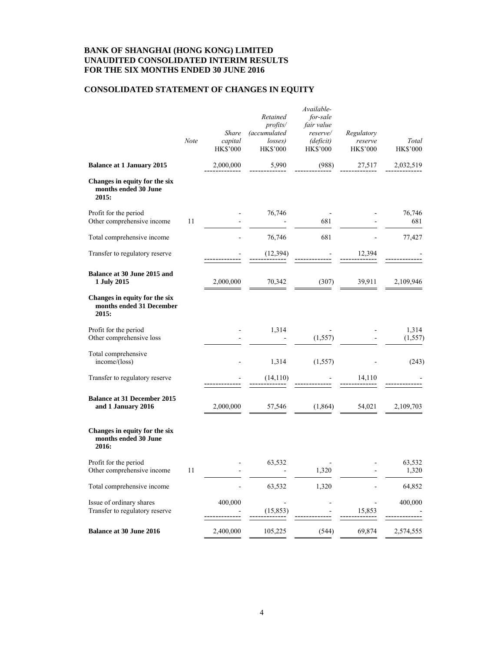# **CONSOLIDATED STATEMENT OF CHANGES IN EQUITY**

|                                                                    | Note | Share<br>capital<br><b>HK\$'000</b> | Retained<br>profits/<br><i>(accumulated</i><br>losses)<br><b>HK\$'000</b> | Available-<br>for-sale<br>fair value<br>reserve/<br>(deficit)<br><b>HK\$'000</b> | Regulatory<br>reserve<br><b>HK\$'000</b> | Total<br><b>HK\$'000</b> |
|--------------------------------------------------------------------|------|-------------------------------------|---------------------------------------------------------------------------|----------------------------------------------------------------------------------|------------------------------------------|--------------------------|
| <b>Balance at 1 January 2015</b>                                   |      | 2,000,000                           | 5,990                                                                     | (988)                                                                            | 27,517                                   | 2,032,519                |
| Changes in equity for the six<br>months ended 30 June<br>2015:     |      |                                     |                                                                           |                                                                                  |                                          |                          |
| Profit for the period<br>Other comprehensive income                | 11   |                                     | 76,746                                                                    | 681                                                                              |                                          | 76,746<br>681            |
| Total comprehensive income                                         |      |                                     | 76,746                                                                    | 681                                                                              |                                          | 77,427                   |
| Transfer to regulatory reserve                                     |      |                                     | (12, 394)                                                                 |                                                                                  | 12,394                                   |                          |
| Balance at 30 June 2015 and<br>1 July 2015                         |      | 2,000,000                           | 70,342                                                                    | (307)                                                                            | 39,911                                   | 2,109,946                |
| Changes in equity for the six<br>months ended 31 December<br>2015: |      |                                     |                                                                           |                                                                                  |                                          |                          |
| Profit for the period<br>Other comprehensive loss                  |      |                                     | 1,314                                                                     | (1, 557)                                                                         |                                          | 1,314<br>(1, 557)        |
| Total comprehensive<br>income/(loss)                               |      |                                     | 1,314                                                                     | (1, 557)                                                                         |                                          | (243)                    |
| Transfer to regulatory reserve                                     |      |                                     | (14, 110)                                                                 |                                                                                  | 14,110                                   |                          |
| <b>Balance at 31 December 2015</b><br>and 1 January 2016           |      | 2,000,000                           | 57,546                                                                    | (1,864)                                                                          | 54,021                                   | 2,109,703                |
| Changes in equity for the six<br>months ended 30 June<br>2016:     |      |                                     |                                                                           |                                                                                  |                                          |                          |
| Profit for the period<br>Other comprehensive income                | 11   |                                     | 63,532                                                                    | 1,320                                                                            |                                          | 63,532<br>1,320          |
| Total comprehensive income                                         |      |                                     | 63,532                                                                    | 1,320                                                                            |                                          | 64,852                   |
| Issue of ordinary shares<br>Transfer to regulatory reserve         |      | 400,000                             | (15, 853)                                                                 |                                                                                  | 15,853                                   | 400,000                  |
| <b>Balance at 30 June 2016</b>                                     |      | 2,400,000                           | 105,225                                                                   | (544)                                                                            | 69,874                                   | 2,574,555                |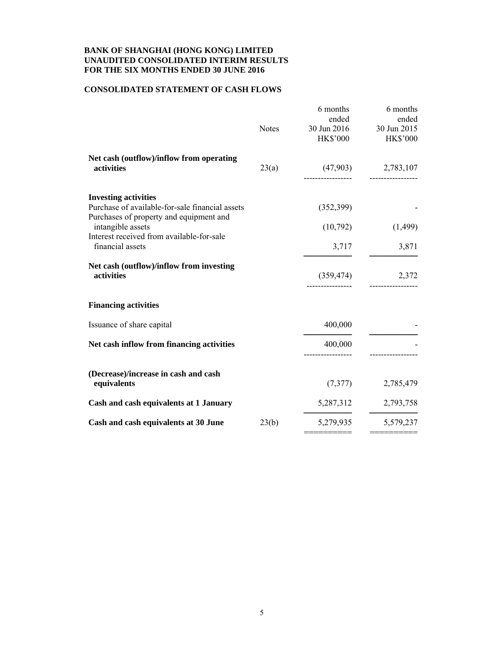#### **CONSOLIDATED STATEMENT OF CASH FLOWS**

| <b>Notes</b> | 6 months<br>ended<br>30 Jun 2016<br><b>HK\$'000</b> | 6 months<br>ended<br>30 Jun 2015<br><b>HK\$'000</b> |
|--------------|-----------------------------------------------------|-----------------------------------------------------|
| 23(a)        | (47,903)                                            | 2,783,107                                           |
|              | (352,399)                                           |                                                     |
|              | (10,792)                                            | (1,499)                                             |
|              | 3,717                                               | 3,871                                               |
|              | (359, 474)                                          | 2,372                                               |
|              |                                                     |                                                     |
|              | 400,000                                             |                                                     |
|              | 400,000                                             |                                                     |
|              | (7, 377)                                            | 2,785,479                                           |
|              | 5,287,312                                           | 2,793,758                                           |
| 23(b)        | 5,279,935                                           | 5,579,237                                           |
|              |                                                     |                                                     |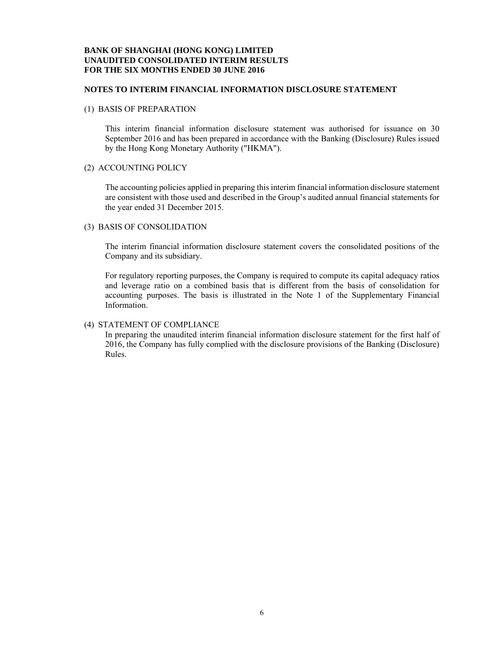#### **NOTES TO INTERIM FINANCIAL INFORMATION DISCLOSURE STATEMENT**

#### (1) BASIS OF PREPARATION

This interim financial information disclosure statement was authorised for issuance on 30 September 2016 and has been prepared in accordance with the Banking (Disclosure) Rules issued by the Hong Kong Monetary Authority ("HKMA").

#### (2) ACCOUNTING POLICY

The accounting policies applied in preparing this interim financial information disclosure statement are consistent with those used and described in the Group's audited annual financial statements for the year ended 31 December 2015.

#### (3) BASIS OF CONSOLIDATION

The interim financial information disclosure statement covers the consolidated positions of the Company and its subsidiary.

For regulatory reporting purposes, the Company is required to compute its capital adequacy ratios and leverage ratio on a combined basis that is different from the basis of consolidation for accounting purposes. The basis is illustrated in the Note 1 of the Supplementary Financial Information.

#### (4) STATEMENT OF COMPLIANCE

In preparing the unaudited interim financial information disclosure statement for the first half of 2016, the Company has fully complied with the disclosure provisions of the Banking (Disclosure) Rules.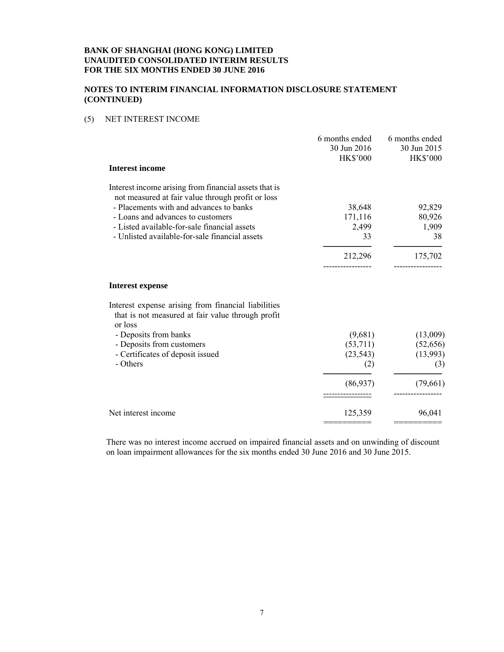# **NOTES TO INTERIM FINANCIAL INFORMATION DISCLOSURE STATEMENT (CONTINUED)**

# (5) NET INTEREST INCOME

|                                                                                                                                                                                                                                                                                              | 6 months ended<br>30 Jun 2016<br><b>HK\$'000</b> | 6 months ended<br>30 Jun 2015<br><b>HK\$'000</b> |
|----------------------------------------------------------------------------------------------------------------------------------------------------------------------------------------------------------------------------------------------------------------------------------------------|--------------------------------------------------|--------------------------------------------------|
| <b>Interest income</b>                                                                                                                                                                                                                                                                       |                                                  |                                                  |
| Interest income arising from financial assets that is<br>not measured at fair value through profit or loss<br>- Placements with and advances to banks<br>- Loans and advances to customers<br>- Listed available-for-sale financial assets<br>- Unlisted available-for-sale financial assets | 38,648<br>171,116<br>2,499<br>33                 | 92,829<br>80,926<br>1,909<br>38                  |
|                                                                                                                                                                                                                                                                                              | 212,296                                          | 175,702                                          |
| Interest expense                                                                                                                                                                                                                                                                             |                                                  |                                                  |
| Interest expense arising from financial liabilities<br>that is not measured at fair value through profit<br>or loss                                                                                                                                                                          |                                                  |                                                  |
| - Deposits from banks<br>- Deposits from customers<br>- Certificates of deposit issued<br>- Others                                                                                                                                                                                           | (9,681)<br>(53,711)<br>(23, 543)<br>(2)          | (13,009)<br>(52, 656)<br>(13,993)<br>(3)         |
|                                                                                                                                                                                                                                                                                              | (86,937)                                         | (79,661)                                         |
| Net interest income                                                                                                                                                                                                                                                                          | 125,359                                          | 96,041                                           |

There was no interest income accrued on impaired financial assets and on unwinding of discount on loan impairment allowances for the six months ended 30 June 2016 and 30 June 2015.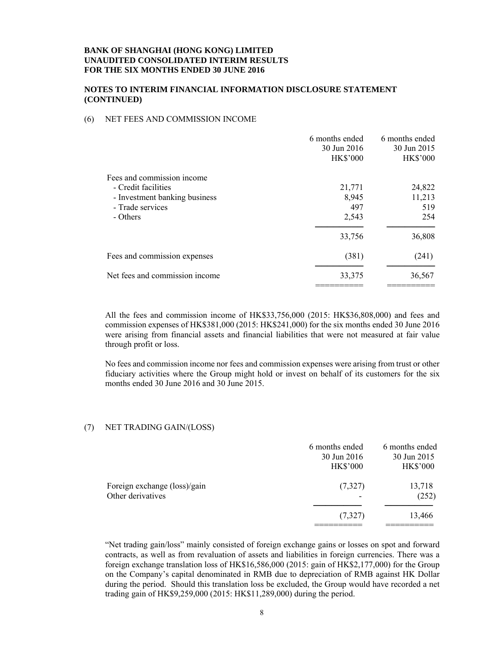#### **NOTES TO INTERIM FINANCIAL INFORMATION DISCLOSURE STATEMENT (CONTINUED)**

#### (6) NET FEES AND COMMISSION INCOME

|                                                                                                                    | 6 months ended<br>30 Jun 2016<br><b>HK\$'000</b> | 6 months ended<br>30 Jun 2015<br><b>HK\$'000</b> |
|--------------------------------------------------------------------------------------------------------------------|--------------------------------------------------|--------------------------------------------------|
| Fees and commission income<br>- Credit facilities<br>- Investment banking business<br>- Trade services<br>- Others | 21,771<br>8,945<br>497<br>2,543                  | 24,822<br>11,213<br>519<br>254                   |
|                                                                                                                    | 33,756                                           | 36,808                                           |
| Fees and commission expenses                                                                                       | (381)                                            | (241)                                            |
| Net fees and commission income                                                                                     | 33,375                                           | 36,567                                           |

All the fees and commission income of HK\$33,756,000 (2015: HK\$36,808,000) and fees and commission expenses of HK\$381,000 (2015: HK\$241,000) for the six months ended 30 June 2016 were arising from financial assets and financial liabilities that were not measured at fair value through profit or loss.

No fees and commission income nor fees and commission expenses were arising from trust or other fiduciary activities where the Group might hold or invest on behalf of its customers for the six months ended 30 June 2016 and 30 June 2015.

#### (7) NET TRADING GAIN/(LOSS)

|                                                   | 6 months ended<br>30 Jun 2016<br><b>HK\$'000</b> | 6 months ended<br>30 Jun 2015<br><b>HK\$'000</b> |
|---------------------------------------------------|--------------------------------------------------|--------------------------------------------------|
| Foreign exchange (loss)/gain<br>Other derivatives | (7,327)                                          | 13,718<br>(252)                                  |
|                                                   | (7,327)                                          | 13,466                                           |

"Net trading gain/loss" mainly consisted of foreign exchange gains or losses on spot and forward contracts, as well as from revaluation of assets and liabilities in foreign currencies. There was a foreign exchange translation loss of HK\$16,586,000 (2015: gain of HK\$2,177,000) for the Group on the Company's capital denominated in RMB due to depreciation of RMB against HK Dollar during the period. Should this translation loss be excluded, the Group would have recorded a net trading gain of HK\$9,259,000 (2015: HK\$11,289,000) during the period.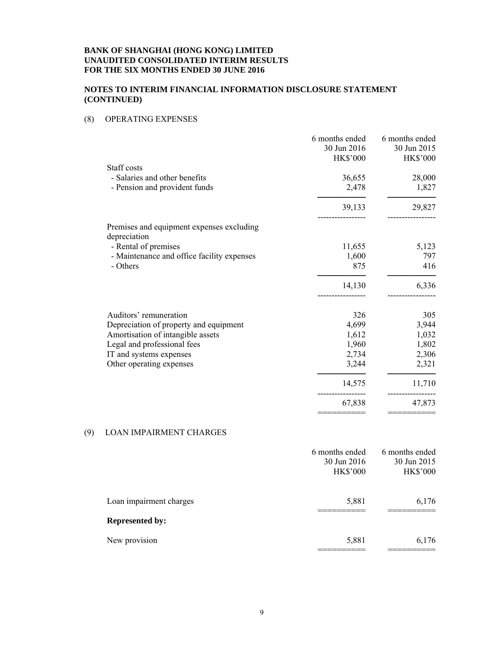#### **NOTES TO INTERIM FINANCIAL INFORMATION DISCLOSURE STATEMENT (CONTINUED)**

# (8) OPERATING EXPENSES

|                                                                  | 6 months ended<br>30 Jun 2016 | 6 months ended<br>30 Jun 2015 |
|------------------------------------------------------------------|-------------------------------|-------------------------------|
| Staff costs                                                      | <b>HK\$'000</b>               | <b>HK\$'000</b>               |
| - Salaries and other benefits                                    | 36,655                        | 28,000                        |
| - Pension and provident funds                                    | 2,478                         | 1,827                         |
|                                                                  | 39,133                        | 29,827                        |
| Premises and equipment expenses excluding<br>depreciation        |                               |                               |
| - Rental of premises                                             | 11,655                        | 5,123                         |
| - Maintenance and office facility expenses                       | 1,600                         | 797                           |
| - Others                                                         | 875                           | 416                           |
|                                                                  | 14,130                        | 6,336                         |
|                                                                  |                               |                               |
| Auditors' remuneration                                           | 326                           | 305                           |
| Depreciation of property and equipment                           | 4,699                         | 3,944                         |
| Amortisation of intangible assets<br>Legal and professional fees | 1,612<br>1,960                | 1,032<br>1,802                |
| IT and systems expenses                                          | 2,734                         | 2,306                         |
| Other operating expenses                                         | 3,244                         | 2,321                         |
|                                                                  | 14,575                        | 11,710                        |
|                                                                  | 67,838                        | 47,873                        |

# (9) LOAN IMPAIRMENT CHARGES

|                         | 6 months ended  | 6 months ended  |
|-------------------------|-----------------|-----------------|
|                         | 30 Jun 2016     | 30 Jun 2015     |
|                         | <b>HK\$'000</b> | <b>HK\$'000</b> |
|                         |                 |                 |
| Loan impairment charges | 5,881           | 6,176           |
| <b>Represented by:</b>  |                 |                 |
| New provision           | 5,881           | 6,176           |
|                         |                 |                 |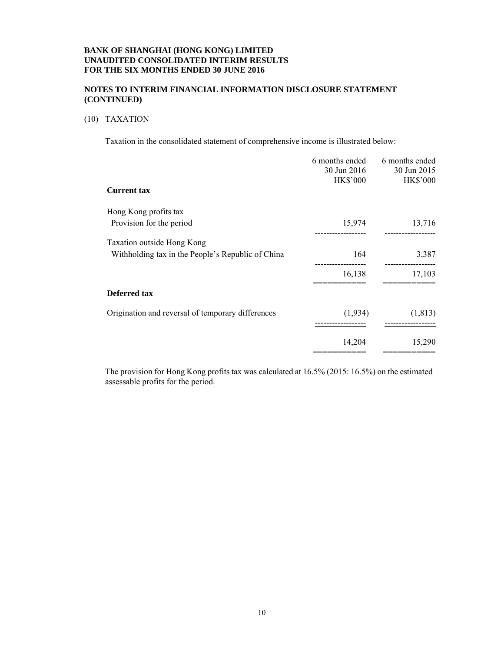## **NOTES TO INTERIM FINANCIAL INFORMATION DISCLOSURE STATEMENT (CONTINUED)**

#### (10) TAXATION

Taxation in the consolidated statement of comprehensive income is illustrated below:

|                                                   | 6 months ended<br>30 Jun 2016<br><b>HK\$'000</b> | 6 months ended<br>30 Jun 2015<br><b>HK\$'000</b> |
|---------------------------------------------------|--------------------------------------------------|--------------------------------------------------|
| <b>Current tax</b>                                |                                                  |                                                  |
| Hong Kong profits tax                             |                                                  |                                                  |
| Provision for the period                          | 15,974                                           | 13,716                                           |
| Taxation outside Hong Kong                        |                                                  |                                                  |
| Withholding tax in the People's Republic of China | 164                                              | 3,387                                            |
|                                                   | 16,138                                           | 17,103                                           |
| Deferred tax                                      |                                                  |                                                  |
| Origination and reversal of temporary differences | (1,934)                                          | (1, 813)                                         |
|                                                   | 14,204                                           | 15,290                                           |

The provision for Hong Kong profits tax was calculated at 16.5% (2015: 16.5%) on the estimated assessable profits for the period.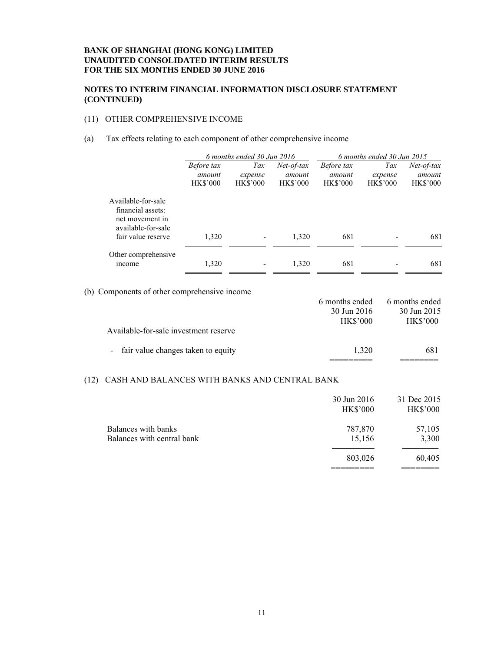#### **NOTES TO INTERIM FINANCIAL INFORMATION DISCLOSURE STATEMENT (CONTINUED)**

# (11) OTHER COMPREHENSIVE INCOME

#### (a) Tax effects relating to each component of other comprehensive income

|                                                                                  | 6 months ended 30 Jun 2016                     |                                   | 6 months ended 30 Jun 2015                |                                                |                                   |                                           |
|----------------------------------------------------------------------------------|------------------------------------------------|-----------------------------------|-------------------------------------------|------------------------------------------------|-----------------------------------|-------------------------------------------|
|                                                                                  | <i>Before tax</i><br>amount<br><b>HK\$'000</b> | Tax<br>expense<br><b>HK\$'000</b> | $Net-of-tax$<br>amount<br><b>HK\$'000</b> | <i>Before tax</i><br>amount<br><b>HK\$'000</b> | Tax<br>expense<br><b>HK\$'000</b> | $Net-of-tax$<br>amount<br><b>HK\$'000</b> |
| Available-for-sale<br>financial assets:<br>net movement in<br>available-for-sale |                                                |                                   |                                           |                                                |                                   |                                           |
| fair value reserve                                                               | 1,320                                          |                                   | 1,320                                     | 681                                            |                                   | 681                                       |
| Other comprehensive<br>income                                                    | 1,320                                          |                                   | 1,320                                     | 681                                            |                                   | 681                                       |

(b) Components of other comprehensive income

|                                       | 6 months ended  | 6 months ended  |
|---------------------------------------|-----------------|-----------------|
|                                       | 30 Jun 2016     | 30 Jun 2015     |
|                                       | <b>HK\$'000</b> | <b>HK\$'000</b> |
| Available-for-sale investment reserve |                 |                 |
| - fair value changes taken to equity  | 1.320           | 681             |
|                                       |                 |                 |

# (12) CASH AND BALANCES WITH BANKS AND CENTRAL BANK

|                                                   | 30 Jun 2016<br><b>HK\$'000</b> | 31 Dec 2015<br><b>HK\$'000</b> |
|---------------------------------------------------|--------------------------------|--------------------------------|
| Balances with banks<br>Balances with central bank | 787,870<br>15,156              | 57,105<br>3,300                |
|                                                   | 803,026                        | 60,405                         |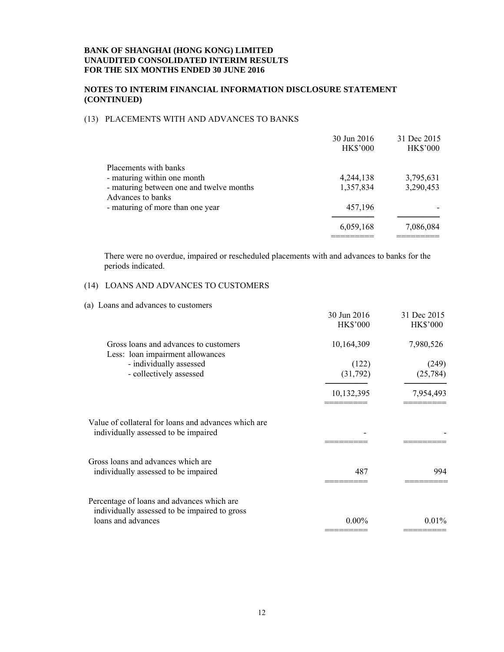#### **NOTES TO INTERIM FINANCIAL INFORMATION DISCLOSURE STATEMENT (CONTINUED)**

# (13) PLACEMENTS WITH AND ADVANCES TO BANKS

|                                                               | 30 Jun 2016<br><b>HK\$'000</b> | 31 Dec 2015<br><b>HK\$'000</b> |
|---------------------------------------------------------------|--------------------------------|--------------------------------|
| Placements with banks                                         |                                |                                |
| - maturing within one month                                   | 4,244,138                      | 3,795,631                      |
| - maturing between one and twelve months<br>Advances to banks | 1,357,834                      | 3,290,453                      |
| - maturing of more than one year                              | 457,196                        |                                |
|                                                               | 6,059,168                      | 7,086,084                      |

There were no overdue, impaired or rescheduled placements with and advances to banks for the periods indicated.

# (14) LOANS AND ADVANCES TO CUSTOMERS

| (a) Loans and advances to customers                                                          |                 |                 |
|----------------------------------------------------------------------------------------------|-----------------|-----------------|
|                                                                                              | 30 Jun 2016     | 31 Dec 2015     |
|                                                                                              | <b>HK\$'000</b> | <b>HK\$'000</b> |
| Gross loans and advances to customers<br>Less: loan impairment allowances                    | 10,164,309      | 7,980,526       |
| - individually assessed                                                                      | (122)           | (249)           |
| - collectively assessed                                                                      | (31,792)        | (25, 784)       |
|                                                                                              | 10,132,395      | 7,954,493       |
|                                                                                              |                 |                 |
| Value of collateral for loans and advances which are<br>individually assessed to be impaired |                 |                 |
|                                                                                              |                 |                 |
| Gross loans and advances which are                                                           |                 |                 |
| individually assessed to be impaired                                                         | 487             | 994             |
| Percentage of loans and advances which are                                                   |                 |                 |
| individually assessed to be impaired to gross                                                |                 |                 |
| loans and advances                                                                           | $0.00\%$        | $0.01\%$        |
|                                                                                              |                 |                 |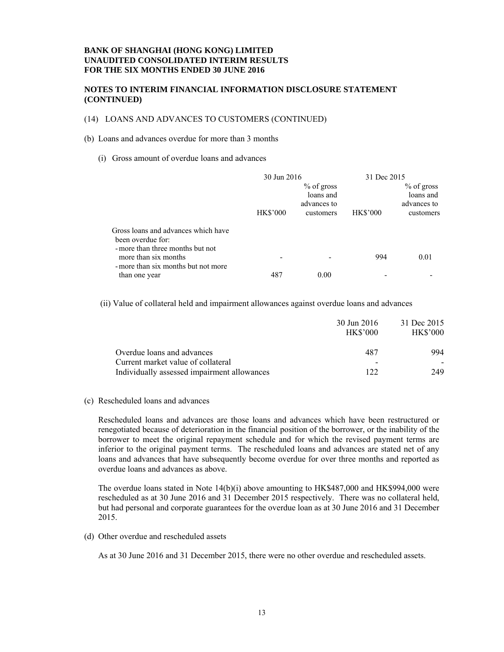#### **NOTES TO INTERIM FINANCIAL INFORMATION DISCLOSURE STATEMENT (CONTINUED)**

#### (14) LOANS AND ADVANCES TO CUSTOMERS (CONTINUED)

#### (b) Loans and advances overdue for more than 3 months

(i) Gross amount of overdue loans and advances

|                                                                                                                      | 30 Jun 2016     |                                                       | 31 Dec 2015     |                                                       |
|----------------------------------------------------------------------------------------------------------------------|-----------------|-------------------------------------------------------|-----------------|-------------------------------------------------------|
|                                                                                                                      | <b>HK\$'000</b> | $%$ of gross<br>loans and<br>advances to<br>customers | <b>HK\$'000</b> | $%$ of gross<br>loans and<br>advances to<br>customers |
| Gross loans and advances which have<br>been overdue for:<br>- more than three months but not<br>more than six months |                 |                                                       | 994             | 0.01                                                  |
| - more than six months but not more<br>than one year                                                                 | 487             | 0.00                                                  |                 |                                                       |

(ii) Value of collateral held and impairment allowances against overdue loans and advances

|                                             | 30 Jun 2016<br><b>HK\$'000</b> | 31 Dec 2015<br><b>HK\$'000</b> |
|---------------------------------------------|--------------------------------|--------------------------------|
| Overdue loans and advances                  | 487                            | 994                            |
| Current market value of collateral          | -                              |                                |
| Individually assessed impairment allowances | 122                            | 249                            |

(c) Rescheduled loans and advances

Rescheduled loans and advances are those loans and advances which have been restructured or renegotiated because of deterioration in the financial position of the borrower, or the inability of the borrower to meet the original repayment schedule and for which the revised payment terms are inferior to the original payment terms. The rescheduled loans and advances are stated net of any loans and advances that have subsequently become overdue for over three months and reported as overdue loans and advances as above.

The overdue loans stated in Note 14(b)(i) above amounting to HK\$487,000 and HK\$994,000 were rescheduled as at 30 June 2016 and 31 December 2015 respectively. There was no collateral held, but had personal and corporate guarantees for the overdue loan as at 30 June 2016 and 31 December 2015.

(d) Other overdue and rescheduled assets

As at 30 June 2016 and 31 December 2015, there were no other overdue and rescheduled assets.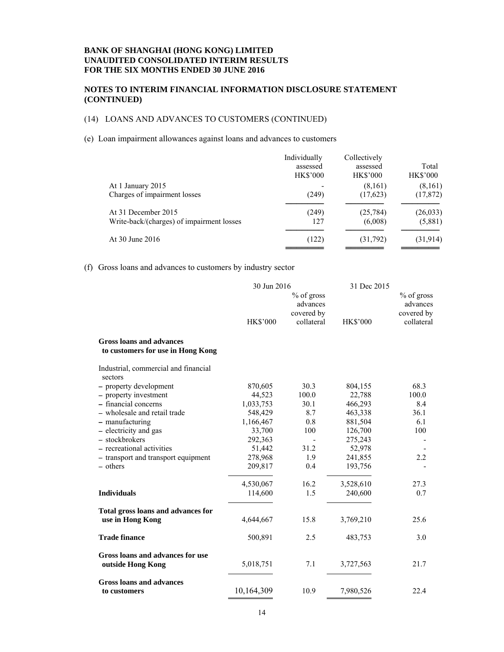#### **NOTES TO INTERIM FINANCIAL INFORMATION DISCLOSURE STATEMENT (CONTINUED)**

# (14) LOANS AND ADVANCES TO CUSTOMERS (CONTINUED)

#### (e) Loan impairment allowances against loans and advances to customers

|                                           | Individually<br>assessed<br><b>HK\$'000</b> | Collectively<br>assessed<br><b>HK\$'000</b> | Total<br><b>HK\$'000</b> |
|-------------------------------------------|---------------------------------------------|---------------------------------------------|--------------------------|
| At 1 January 2015                         |                                             | (8,161)                                     | (8,161)                  |
| Charges of impairment losses              | (249)                                       | (17,623)                                    | (17, 872)                |
| At 31 December 2015                       | (249)                                       | (25, 784)                                   | (26, 033)                |
| Write-back/(charges) of impairment losses | 127                                         | (6,008)                                     | (5,881)                  |
| At 30 June 2016                           | (122)                                       | (31,792)                                    | (31, 914)                |

#### (f) Gross loans and advances to customers by industry sector

|                                                                      | 30 Jun 2016          |                                                    | 31 Dec 2015        |                                                      |
|----------------------------------------------------------------------|----------------------|----------------------------------------------------|--------------------|------------------------------------------------------|
|                                                                      | <b>HK\$'000</b>      | % of gross<br>advances<br>covered by<br>collateral | <b>HK\$'000</b>    | $%$ of gross<br>advances<br>covered by<br>collateral |
| <b>Gross loans and advances</b><br>to customers for use in Hong Kong |                      |                                                    |                    |                                                      |
| Industrial, commercial and financial                                 |                      |                                                    |                    |                                                      |
| sectors                                                              |                      |                                                    |                    |                                                      |
| - property development                                               | 870,605              | 30.3                                               | 804,155            | 68.3                                                 |
| - property investment<br>- financial concerns                        | 44,523               | 100.0<br>30.1                                      | 22,788             | 100.0<br>8.4                                         |
| - wholesale and retail trade                                         | 1,033,753            | 8.7                                                | 466,293<br>463,338 | 36.1                                                 |
| - manufacturing                                                      | 548,429<br>1,166,467 | 0.8                                                | 881,504            | 6.1                                                  |
| - electricity and gas                                                | 33,700               | 100                                                | 126,700            | 100                                                  |
| - stockbrokers                                                       | 292,363              |                                                    | 275,243            |                                                      |
| - recreational activities                                            | 51,442               | 31.2                                               | 52,978             |                                                      |
| - transport and transport equipment                                  | 278,968              | 1.9                                                | 241,855            | 2.2                                                  |
| - others                                                             | 209,817              | 0.4                                                | 193,756            |                                                      |
|                                                                      | 4,530,067            | 16.2                                               | 3,528,610          | 27.3                                                 |
| <b>Individuals</b>                                                   | 114,600              | 1.5                                                | 240,600            | 0.7                                                  |
| Total gross loans and advances for                                   |                      |                                                    |                    |                                                      |
| use in Hong Kong                                                     | 4,644,667            | 15.8                                               | 3,769,210          | 25.6                                                 |
| <b>Trade finance</b>                                                 | 500,891              | 2.5                                                | 483,753            | 3.0                                                  |
| Gross loans and advances for use<br>outside Hong Kong                | 5,018,751            | 7.1                                                | 3,727,563          | 21.7                                                 |
| <b>Gross loans and advances</b>                                      |                      |                                                    |                    |                                                      |
| to customers                                                         | 10,164,309           | 10.9                                               | 7,980,526          | 22.4                                                 |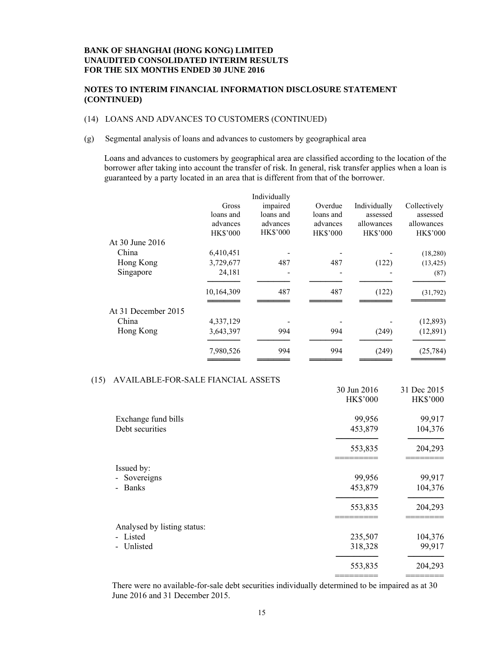#### **NOTES TO INTERIM FINANCIAL INFORMATION DISCLOSURE STATEMENT (CONTINUED)**

#### (14) LOANS AND ADVANCES TO CUSTOMERS (CONTINUED)

(g) Segmental analysis of loans and advances to customers by geographical area

Loans and advances to customers by geographical area are classified according to the location of the borrower after taking into account the transfer of risk. In general, risk transfer applies when a loan is guaranteed by a party located in an area that is different from that of the borrower.

|                     |                 | Individually    |                 |                 |                 |
|---------------------|-----------------|-----------------|-----------------|-----------------|-----------------|
|                     | Gross           | impaired        | Overdue         | Individually    | Collectively    |
|                     | loans and       | loans and       | loans and       | assessed        | assessed        |
|                     | advances        | advances        | advances        | allowances      | allowances      |
|                     | <b>HK\$'000</b> | <b>HK\$'000</b> | <b>HK\$'000</b> | <b>HK\$'000</b> | <b>HK\$'000</b> |
| At 30 June 2016     |                 |                 |                 |                 |                 |
| China               | 6,410,451       |                 |                 |                 | (18,280)        |
| Hong Kong           | 3,729,677       | 487             | 487             | (122)           | (13, 425)       |
| Singapore           | 24,181          |                 |                 |                 | (87)            |
|                     | 10,164,309      | 487             | 487             | (122)           | (31,792)        |
| At 31 December 2015 |                 |                 |                 |                 |                 |
| China               | 4,337,129       |                 |                 |                 | (12, 893)       |
| Hong Kong           | 3,643,397       | 994             | 994             | (249)           | (12, 891)       |
|                     | 7,980,526       | 994             | 994             | (249)           | (25, 784)       |
|                     |                 |                 |                 |                 |                 |

#### (15) AVAILABLE-FOR-SALE FIANCIAL ASSETS

|                              | 30 Jun 2016     | 31 Dec 2015     |
|------------------------------|-----------------|-----------------|
|                              | <b>HK\$'000</b> | <b>HK\$'000</b> |
| Exchange fund bills          | 99,956          | 99,917          |
| Debt securities              | 453,879         | 104,376         |
|                              | 553,835         | 204,293         |
| Issued by:                   |                 |                 |
| Sovereigns<br>$\blacksquare$ | 99,956          | 99,917          |
| <b>Banks</b>                 | 453,879         | 104,376         |
|                              | 553,835         | 204,293         |
| Analysed by listing status:  |                 |                 |
| - Listed                     | 235,507         | 104,376         |
| Unlisted                     | 318,328         | 99,917          |
|                              | 553,835         | 204,293         |
|                              |                 |                 |

There were no available-for-sale debt securities individually determined to be impaired as at 30 June 2016 and 31 December 2015.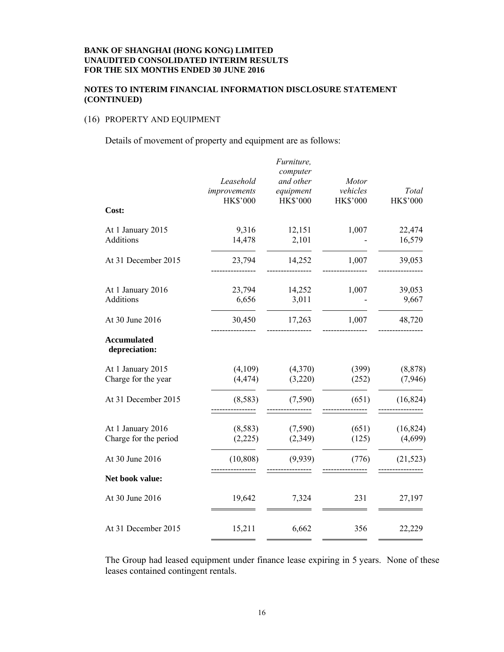# **NOTES TO INTERIM FINANCIAL INFORMATION DISCLOSURE STATEMENT (CONTINUED)**

# (16) PROPERTY AND EQUIPMENT

Details of movement of property and equipment are as follows:

|                                            | Leasehold<br>improvements<br><b>HK\$'000</b> | Furniture,<br>computer<br>and other<br>equipment<br><b>HK\$'000</b> | Motor<br>vehicles<br><b>HK\$'000</b> | Total<br><b>HK\$'000</b> |
|--------------------------------------------|----------------------------------------------|---------------------------------------------------------------------|--------------------------------------|--------------------------|
| Cost:                                      |                                              |                                                                     |                                      |                          |
| At 1 January 2015<br>Additions             | 9,316<br>14,478                              | 12,151<br>2,101                                                     | 1,007                                | 22,474<br>16,579         |
| At 31 December 2015                        | 23,794                                       | 14,252                                                              | 1,007                                | 39,053                   |
| At 1 January 2016<br>Additions             | 23,794<br>6,656                              | 14,252<br>3,011                                                     | 1,007                                | 39,053<br>9,667          |
| At 30 June 2016                            | 30,450                                       | 17,263                                                              | 1,007                                | 48,720                   |
| <b>Accumulated</b><br>depreciation:        |                                              |                                                                     |                                      |                          |
| At 1 January 2015<br>Charge for the year   | (4,109)<br>(4, 474)                          | (4,370)<br>(3,220)                                                  | (399)<br>(252)                       | (8, 878)<br>(7,946)      |
| At 31 December 2015                        | (8,583)                                      | (7,590)                                                             | (651)                                | (16, 824)                |
| At 1 January 2016<br>Charge for the period | (8,583)<br>(2,225)                           | (7,590)<br>(2,349)                                                  | (651)<br>(125)                       | (16, 824)<br>(4,699)     |
| At 30 June 2016                            | (10, 808)                                    | (9,939)                                                             | (776)                                | (21, 523)                |
| Net book value:                            |                                              |                                                                     |                                      |                          |
| At 30 June 2016                            | 19,642                                       | 7,324                                                               | 231                                  | 27,197                   |
| At 31 December 2015                        | 15,211                                       | 6,662                                                               | 356                                  | 22,229                   |
|                                            |                                              |                                                                     |                                      |                          |

The Group had leased equipment under finance lease expiring in 5 years. None of these leases contained contingent rentals.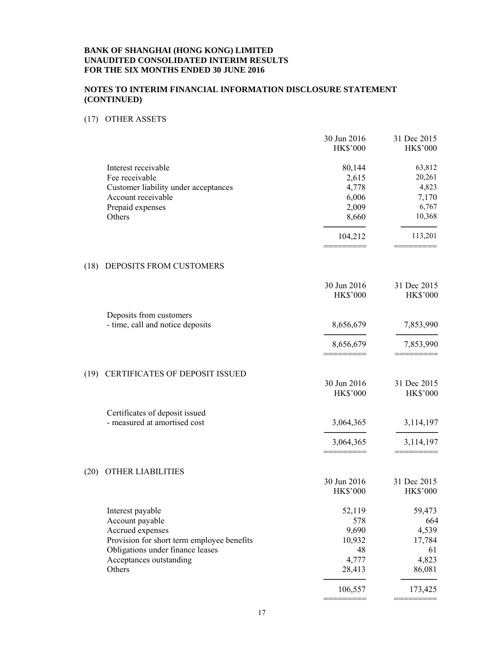## **NOTES TO INTERIM FINANCIAL INFORMATION DISCLOSURE STATEMENT (CONTINUED)**

## (17) OTHER ASSETS

|      |                                            | 30 Jun 2016<br><b>HK\$'000</b> | 31 Dec 2015<br><b>HK\$'000</b> |
|------|--------------------------------------------|--------------------------------|--------------------------------|
|      | Interest receivable                        | 80,144                         | 63,812                         |
|      | Fee receivable                             | 2,615                          | 20,261                         |
|      | Customer liability under acceptances       | 4,778                          | 4,823                          |
|      | Account receivable                         | 6,006                          | 7,170                          |
|      | Prepaid expenses                           | 2,009                          | 6,767                          |
|      | Others                                     | 8,660                          | 10,368                         |
|      |                                            | 104,212                        | 113,201                        |
| (18) | DEPOSITS FROM CUSTOMERS                    |                                |                                |
|      |                                            | 30 Jun 2016                    | 31 Dec 2015                    |
|      |                                            | HK\$'000                       | <b>HK\$'000</b>                |
|      | Deposits from customers                    |                                |                                |
|      | - time, call and notice deposits           | 8,656,679                      | 7,853,990                      |
|      |                                            | 8,656,679                      | 7,853,990                      |
| (19) | CERTIFICATES OF DEPOSIT ISSUED             |                                |                                |
|      |                                            | 30 Jun 2016                    | 31 Dec 2015                    |
|      |                                            | <b>HK\$'000</b>                | <b>HK\$'000</b>                |
|      | Certificates of deposit issued             |                                |                                |
|      | - measured at amortised cost               | 3,064,365                      | 3,114,197                      |
|      |                                            | 3,064,365                      | 3,114,197                      |
| (20) | <b>OTHER LIABILITIES</b>                   |                                |                                |
|      |                                            | 30 Jun 2016                    | 31 Dec 2015                    |
|      |                                            | HK\$'000                       | <b>HK\$'000</b>                |
|      | Interest payable                           | 52,119                         | 59,473                         |
|      | Account payable                            | 578                            | 664                            |
|      | Accrued expenses                           | 9,690                          | 4,539                          |
|      | Provision for short term employee benefits | 10,932                         | 17,784                         |
|      | Obligations under finance leases           | 48                             | 61                             |
|      | Acceptances outstanding                    | 4,777                          | 4,823                          |
|      | Others                                     | 28,413                         | 86,081                         |
|      |                                            | 106,557                        | 173,425                        |
|      |                                            |                                |                                |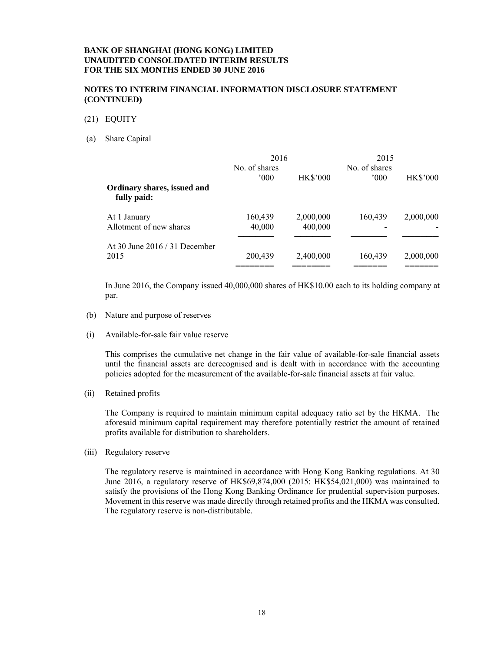#### **NOTES TO INTERIM FINANCIAL INFORMATION DISCLOSURE STATEMENT (CONTINUED)**

- (21) EQUITY
- (a) Share Capital

|                                            | 2016          |                 | 2015          |                 |
|--------------------------------------------|---------------|-----------------|---------------|-----------------|
|                                            | No. of shares |                 | No. of shares |                 |
|                                            | $000^{\circ}$ | <b>HK\$'000</b> | 000           | <b>HK\$'000</b> |
| Ordinary shares, issued and<br>fully paid: |               |                 |               |                 |
| At 1 January                               | 160,439       | 2,000,000       | 160,439       | 2,000,000       |
| Allotment of new shares                    | 40,000        | 400,000         |               |                 |
| At 30 June $2016 / 31$ December            |               |                 |               |                 |
| 2015                                       | 200,439       | 2,400,000       | 160,439       | 2,000,000       |
|                                            |               |                 |               |                 |

In June 2016, the Company issued 40,000,000 shares of HK\$10.00 each to its holding company at par.

- (b) Nature and purpose of reserves
- (i) Available-for-sale fair value reserve

This comprises the cumulative net change in the fair value of available-for-sale financial assets until the financial assets are derecognised and is dealt with in accordance with the accounting policies adopted for the measurement of the available-for-sale financial assets at fair value.

(ii) Retained profits

The Company is required to maintain minimum capital adequacy ratio set by the HKMA. The aforesaid minimum capital requirement may therefore potentially restrict the amount of retained profits available for distribution to shareholders.

(iii) Regulatory reserve

The regulatory reserve is maintained in accordance with Hong Kong Banking regulations. At 30 June 2016, a regulatory reserve of HK\$69,874,000 (2015: HK\$54,021,000) was maintained to satisfy the provisions of the Hong Kong Banking Ordinance for prudential supervision purposes. Movement in this reserve was made directly through retained profits and the HKMA was consulted. The regulatory reserve is non-distributable.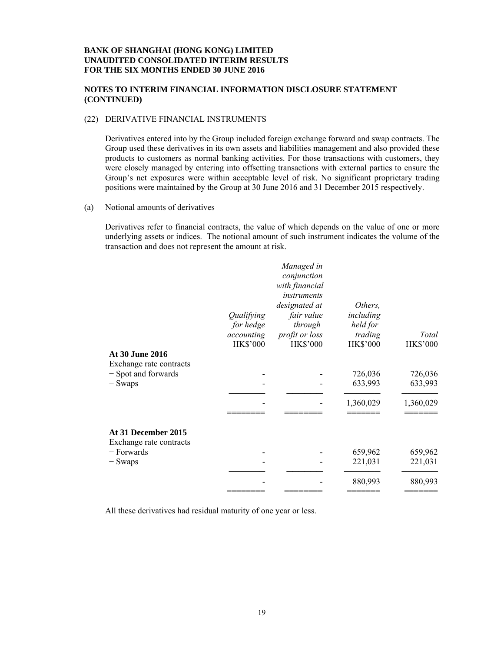#### **NOTES TO INTERIM FINANCIAL INFORMATION DISCLOSURE STATEMENT (CONTINUED)**

#### (22) DERIVATIVE FINANCIAL INSTRUMENTS

Derivatives entered into by the Group included foreign exchange forward and swap contracts. The Group used these derivatives in its own assets and liabilities management and also provided these products to customers as normal banking activities. For those transactions with customers, they were closely managed by entering into offsetting transactions with external parties to ensure the Group's net exposures were within acceptable level of risk. No significant proprietary trading positions were maintained by the Group at 30 June 2016 and 31 December 2015 respectively.

(a) Notional amounts of derivatives

Derivatives refer to financial contracts, the value of which depends on the value of one or more underlying assets or indices. The notional amount of such instrument indicates the volume of the transaction and does not represent the amount at risk.

|                                                | Qualifying<br>for hedge<br>accounting<br><b>HK\$'000</b> | Managed in<br>conjunction<br>with financial<br>instruments<br>designated at<br>fair value<br>through<br>profit or loss<br><b>HK\$'000</b> | Others,<br>including<br>held for<br>trading<br><b>HK\$'000</b> | Total<br><b>HK\$'000</b> |
|------------------------------------------------|----------------------------------------------------------|-------------------------------------------------------------------------------------------------------------------------------------------|----------------------------------------------------------------|--------------------------|
| At 30 June 2016                                |                                                          |                                                                                                                                           |                                                                |                          |
| Exchange rate contracts                        |                                                          |                                                                                                                                           |                                                                |                          |
| - Spot and forwards                            |                                                          |                                                                                                                                           | 726,036                                                        | 726,036                  |
| $-$ Swaps                                      |                                                          |                                                                                                                                           | 633,993                                                        | 633,993                  |
|                                                |                                                          |                                                                                                                                           |                                                                |                          |
|                                                |                                                          |                                                                                                                                           | 1,360,029                                                      | 1,360,029                |
|                                                |                                                          |                                                                                                                                           |                                                                |                          |
| At 31 December 2015<br>Exchange rate contracts |                                                          |                                                                                                                                           |                                                                |                          |
| $-$ Forwards                                   |                                                          |                                                                                                                                           | 659,962                                                        | 659,962                  |
| $-$ Swaps                                      |                                                          |                                                                                                                                           | 221,031                                                        | 221,031                  |
|                                                |                                                          |                                                                                                                                           |                                                                |                          |
|                                                |                                                          |                                                                                                                                           | 880,993                                                        | 880,993                  |
|                                                |                                                          |                                                                                                                                           |                                                                |                          |

All these derivatives had residual maturity of one year or less.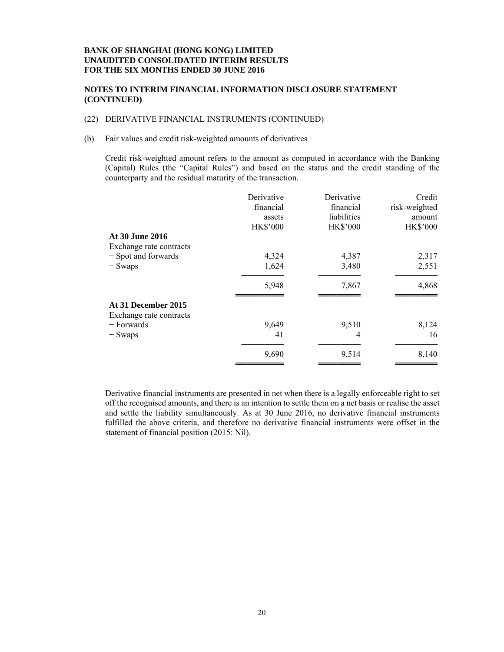#### **NOTES TO INTERIM FINANCIAL INFORMATION DISCLOSURE STATEMENT (CONTINUED)**

#### (22) DERIVATIVE FINANCIAL INSTRUMENTS (CONTINUED)

#### (b) Fair values and credit risk-weighted amounts of derivatives

Credit risk-weighted amount refers to the amount as computed in accordance with the Banking (Capital) Rules (the "Capital Rules") and based on the status and the credit standing of the counterparty and the residual maturity of the transaction.

|                         | Derivative      | Derivative      | Credit          |
|-------------------------|-----------------|-----------------|-----------------|
|                         | financial       | financial       | risk-weighted   |
|                         | assets          | liabilities     | amount          |
|                         | <b>HK\$'000</b> | <b>HK\$'000</b> | <b>HK\$'000</b> |
| At 30 June 2016         |                 |                 |                 |
| Exchange rate contracts |                 |                 |                 |
| - Spot and forwards     | 4,324           | 4,387           | 2,317           |
| - Swaps                 | 1,624           | 3,480           | 2,551           |
|                         | 5,948           | 7,867           | 4,868           |
| At 31 December 2015     |                 |                 |                 |
| Exchange rate contracts |                 |                 |                 |
| – Forwards              | 9,649           | 9,510           | 8,124           |
| $-$ Swaps               | 41              | 4               | 16              |
|                         | 9,690           | 9,514           | 8,140           |
|                         |                 |                 |                 |

Derivative financial instruments are presented in net when there is a legally enforceable right to set off the recognised amounts, and there is an intention to settle them on a net basis or realise the asset and settle the liability simultaneously. As at 30 June 2016, no derivative financial instruments fulfilled the above criteria, and therefore no derivative financial instruments were offset in the statement of financial position (2015: Nil).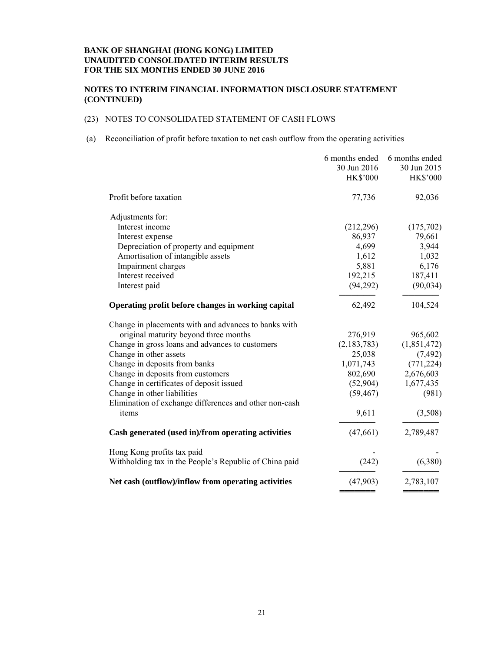#### **NOTES TO INTERIM FINANCIAL INFORMATION DISCLOSURE STATEMENT (CONTINUED)**

# (23) NOTES TO CONSOLIDATED STATEMENT OF CASH FLOWS

#### (a) Reconciliation of profit before taxation to net cash outflow from the operating activities

|                                                        | 6 months ended  | 6 months ended  |
|--------------------------------------------------------|-----------------|-----------------|
|                                                        | 30 Jun 2016     | 30 Jun 2015     |
|                                                        | <b>HK\$'000</b> | <b>HK\$'000</b> |
| Profit before taxation                                 | 77,736          | 92,036          |
| Adjustments for:                                       |                 |                 |
| Interest income                                        | (212, 296)      | (175,702)       |
| Interest expense                                       | 86,937          | 79,661          |
| Depreciation of property and equipment                 | 4,699           | 3,944           |
| Amortisation of intangible assets                      | 1,612           | 1,032           |
| Impairment charges                                     | 5,881           | 6,176           |
| Interest received                                      | 192,215         | 187,411         |
| Interest paid                                          | (94,292)        | (90, 034)       |
| Operating profit before changes in working capital     | 62,492          | 104,524         |
| Change in placements with and advances to banks with   |                 |                 |
| original maturity beyond three months                  | 276,919         | 965,602         |
| Change in gross loans and advances to customers        | (2,183,783)     | (1,851,472)     |
| Change in other assets                                 | 25,038          | (7, 492)        |
| Change in deposits from banks                          | 1,071,743       | (771, 224)      |
| Change in deposits from customers                      | 802,690         | 2,676,603       |
| Change in certificates of deposit issued               | (52,904)        | 1,677,435       |
| Change in other liabilities                            | (59, 467)       | (981)           |
| Elimination of exchange differences and other non-cash |                 |                 |
| items                                                  | 9,611           | (3,508)         |
| Cash generated (used in)/from operating activities     | (47,661)        | 2,789,487       |
| Hong Kong profits tax paid                             |                 |                 |
| Withholding tax in the People's Republic of China paid | (242)           | (6,380)         |
| Net cash (outflow)/inflow from operating activities    | (47,903)        | 2,783,107       |

═══════ ═══════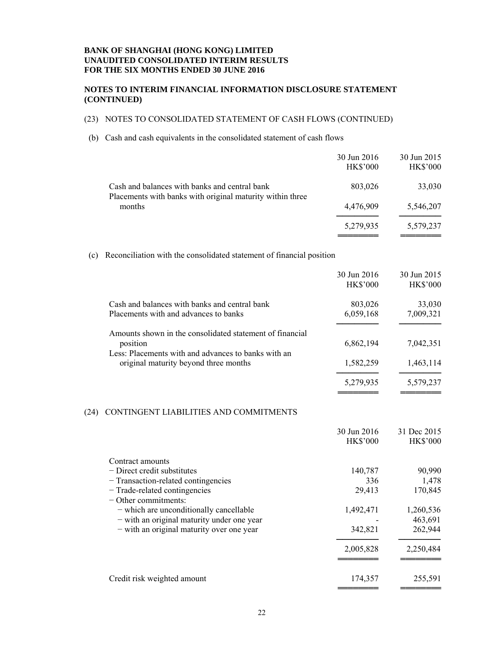#### **NOTES TO INTERIM FINANCIAL INFORMATION DISCLOSURE STATEMENT (CONTINUED)**

# (23) NOTES TO CONSOLIDATED STATEMENT OF CASH FLOWS (CONTINUED)

#### (b) Cash and cash equivalents in the consolidated statement of cash flows

|                                                                                                            | 30 Jun 2016<br><b>HK\$'000</b> | 30 Jun 2015<br><b>HK\$'000</b> |
|------------------------------------------------------------------------------------------------------------|--------------------------------|--------------------------------|
| Cash and balances with banks and central bank<br>Placements with banks with original maturity within three | 803,026                        | 33,030                         |
| months                                                                                                     | 4,476,909                      | 5,546,207                      |
|                                                                                                            | 5,279,935                      | 5,579,237                      |

══════════════════════════════════

════════════<br>═══════════════

#### (c) Reconciliation with the consolidated statement of financial position

|                                                                                              | 30 Jun 2016<br><b>HK\$'000</b> | 30 Jun 2015<br><b>HK\$'000</b> |
|----------------------------------------------------------------------------------------------|--------------------------------|--------------------------------|
| Cash and balances with banks and central bank                                                |                                |                                |
| Placements with and advances to banks                                                        | 803,026<br>6,059,168           | 33,030<br>7,009,321            |
|                                                                                              |                                |                                |
| Amounts shown in the consolidated statement of financial<br>position                         | 6,862,194                      | 7,042,351                      |
| Less: Placements with and advances to banks with an<br>original maturity beyond three months | 1,582,259                      | 1,463,114                      |
|                                                                                              | 5,279,935                      | 5,579,237                      |

#### (24) CONTINGENT LIABILITIES AND COMMITMENTS

|                                            | 30 Jun 2016     | 31 Dec 2015     |
|--------------------------------------------|-----------------|-----------------|
|                                            | <b>HK\$'000</b> | <b>HK\$'000</b> |
| Contract amounts                           |                 |                 |
| $-$ Direct credit substitutes              | 140,787         | 90,990          |
| - Transaction-related contingencies        | 336             | 1,478           |
| - Trade-related contingencies              | 29,413          | 170,845         |
| $\sim$ Other commitments:                  |                 |                 |
| - which are unconditionally cancellable    | 1,492,471       | 1,260,536       |
| - with an original maturity under one year |                 | 463,691         |
| - with an original maturity over one year  | 342,821         | 262,944         |
|                                            | 2,005,828       | 2,250,484       |
|                                            |                 |                 |
| Credit risk weighted amount                | 174,357         | 255,591         |
|                                            |                 |                 |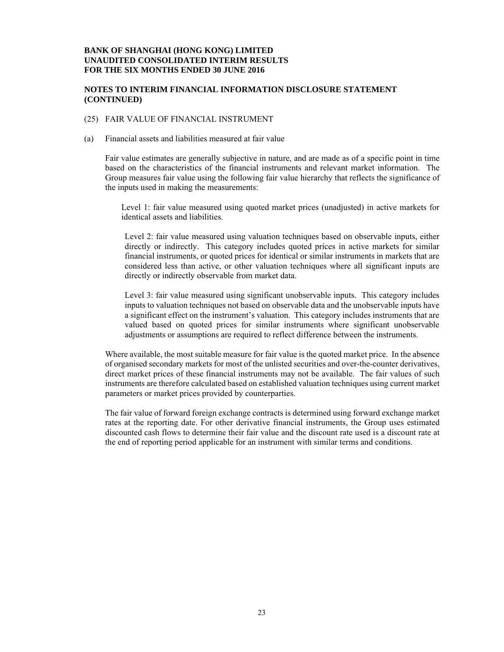#### **NOTES TO INTERIM FINANCIAL INFORMATION DISCLOSURE STATEMENT (CONTINUED)**

#### (25) FAIR VALUE OF FINANCIAL INSTRUMENT

(a) Financial assets and liabilities measured at fair value

Fair value estimates are generally subjective in nature, and are made as of a specific point in time based on the characteristics of the financial instruments and relevant market information. The Group measures fair value using the following fair value hierarchy that reflects the significance of the inputs used in making the measurements:

Level 1: fair value measured using quoted market prices (unadjusted) in active markets for identical assets and liabilities.

Level 2: fair value measured using valuation techniques based on observable inputs, either directly or indirectly. This category includes quoted prices in active markets for similar financial instruments, or quoted prices for identical or similar instruments in markets that are considered less than active, or other valuation techniques where all significant inputs are directly or indirectly observable from market data.

Level 3: fair value measured using significant unobservable inputs. This category includes inputs to valuation techniques not based on observable data and the unobservable inputs have a significant effect on the instrument's valuation. This category includes instruments that are valued based on quoted prices for similar instruments where significant unobservable adjustments or assumptions are required to reflect difference between the instruments.

Where available, the most suitable measure for fair value is the quoted market price. In the absence of organised secondary markets for most of the unlisted securities and over-the-counter derivatives, direct market prices of these financial instruments may not be available. The fair values of such instruments are therefore calculated based on established valuation techniques using current market parameters or market prices provided by counterparties.

The fair value of forward foreign exchange contracts is determined using forward exchange market rates at the reporting date. For other derivative financial instruments, the Group uses estimated discounted cash flows to determine their fair value and the discount rate used is a discount rate at the end of reporting period applicable for an instrument with similar terms and conditions.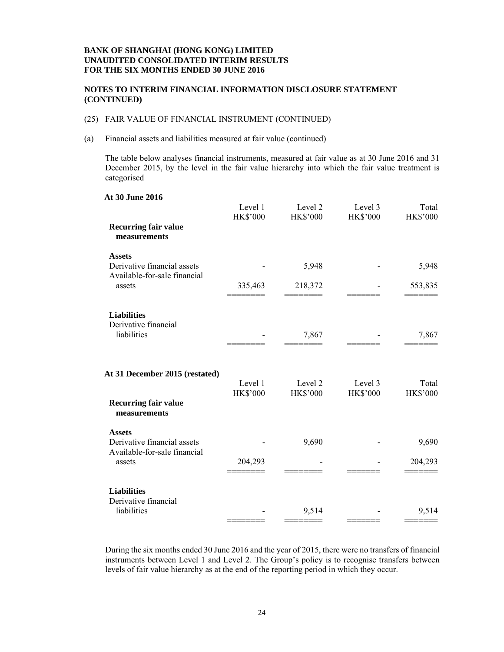#### **NOTES TO INTERIM FINANCIAL INFORMATION DISCLOSURE STATEMENT (CONTINUED)**

#### (25) FAIR VALUE OF FINANCIAL INSTRUMENT (CONTINUED)

(a) Financial assets and liabilities measured at fair value (continued)

The table below analyses financial instruments, measured at fair value as at 30 June 2016 and 31 December 2015, by the level in the fair value hierarchy into which the fair value treatment is categorised

# **At 30 June 2016**  Level 1 Level 2 Level 3 Total HK\$'000 HK\$'000 HK\$'000 HK\$'000 **Recurring fair value measurements Assets**  Derivative financial assets  $5,948$  - 5,948 Available-for-sale financial assets 335,463 218,372 - 553,835 ======== ======== ======= ======= **Liabilities**  Derivative financial  $\frac{1}{10}$  liabilities  $\frac{7}{867}$   $\frac{7}{867}$   $\frac{7}{867}$ ======== ======== ======= ======= **At 31 December 2015 (restated)**  Level 1 Level 2 Level 3 Total HK\$'000 HK\$'000 HK\$'000 HK\$'000 **Recurring fair value measurements Assets**  Derivative financial assets  $9,690$  - 9,690 Available-for-sale financial assets 204,293 - 204,293 - 204,293 ======== ======== ======= ======= **Liabilities**  Derivative financial  $\frac{1}{10}$   $\frac{1}{10}$   $\frac{1}{10}$   $\frac{1}{10}$   $\frac{1}{10}$   $\frac{1}{10}$   $\frac{1}{10}$   $\frac{1}{10}$   $\frac{1}{10}$   $\frac{1}{10}$   $\frac{1}{10}$   $\frac{1}{10}$   $\frac{1}{10}$   $\frac{1}{10}$   $\frac{1}{10}$   $\frac{1}{10}$   $\frac{1}{10}$   $\frac{1}{10}$   $\frac{1}{10}$   $\frac{1}{10}$  ======== ======== ======= =======

During the six months ended 30 June 2016 and the year of 2015, there were no transfers of financial instruments between Level 1 and Level 2. The Group's policy is to recognise transfers between levels of fair value hierarchy as at the end of the reporting period in which they occur.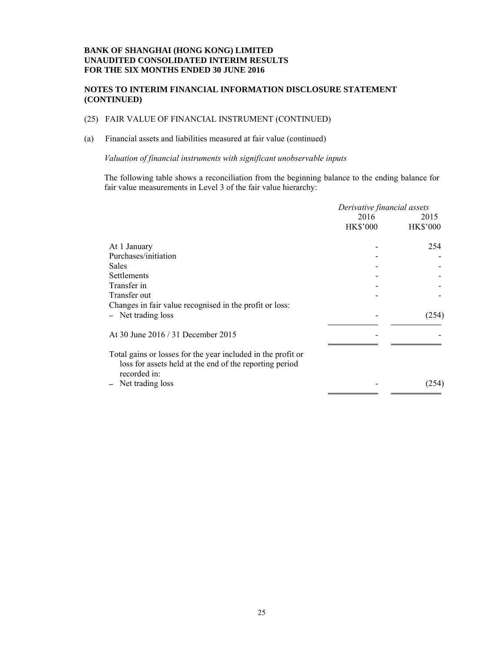#### **NOTES TO INTERIM FINANCIAL INFORMATION DISCLOSURE STATEMENT (CONTINUED)**

# (25) FAIR VALUE OF FINANCIAL INSTRUMENT (CONTINUED)

# (a) Financial assets and liabilities measured at fair value (continued)

*Valuation of financial instruments with significant unobservable inputs* 

The following table shows a reconciliation from the beginning balance to the ending balance for fair value measurements in Level 3 of the fair value hierarchy:

|                                                                                                                                         | Derivative financial assets |                 |
|-----------------------------------------------------------------------------------------------------------------------------------------|-----------------------------|-----------------|
|                                                                                                                                         | 2016                        | 2015            |
|                                                                                                                                         | <b>HK\$'000</b>             | <b>HK\$'000</b> |
| At 1 January                                                                                                                            |                             | 254             |
| Purchases/initiation                                                                                                                    |                             |                 |
| <b>Sales</b>                                                                                                                            |                             |                 |
| Settlements                                                                                                                             |                             |                 |
| Transfer in                                                                                                                             |                             |                 |
| Transfer out                                                                                                                            |                             |                 |
| Changes in fair value recognised in the profit or loss:                                                                                 |                             |                 |
| - Net trading loss                                                                                                                      |                             | (254)           |
| At 30 June 2016 / 31 December 2015                                                                                                      |                             |                 |
| Total gains or losses for the year included in the profit or<br>loss for assets held at the end of the reporting period<br>recorded in: |                             |                 |
| Net trading loss                                                                                                                        |                             | (254)           |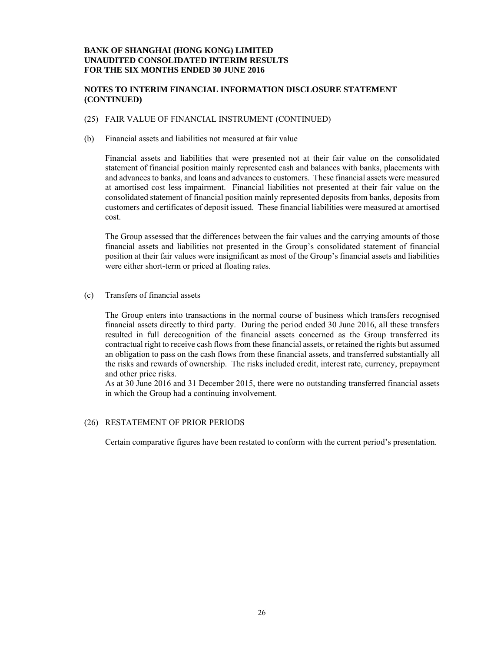#### **NOTES TO INTERIM FINANCIAL INFORMATION DISCLOSURE STATEMENT (CONTINUED)**

#### (25) FAIR VALUE OF FINANCIAL INSTRUMENT (CONTINUED)

(b) Financial assets and liabilities not measured at fair value

Financial assets and liabilities that were presented not at their fair value on the consolidated statement of financial position mainly represented cash and balances with banks, placements with and advances to banks, and loans and advances to customers. These financial assets were measured at amortised cost less impairment. Financial liabilities not presented at their fair value on the consolidated statement of financial position mainly represented deposits from banks, deposits from customers and certificates of deposit issued. These financial liabilities were measured at amortised cost.

The Group assessed that the differences between the fair values and the carrying amounts of those financial assets and liabilities not presented in the Group's consolidated statement of financial position at their fair values were insignificant as most of the Group's financial assets and liabilities were either short-term or priced at floating rates.

(c) Transfers of financial assets

The Group enters into transactions in the normal course of business which transfers recognised financial assets directly to third party. During the period ended 30 June 2016, all these transfers resulted in full derecognition of the financial assets concerned as the Group transferred its contractual right to receive cash flows from these financial assets, or retained the rights but assumed an obligation to pass on the cash flows from these financial assets, and transferred substantially all the risks and rewards of ownership. The risks included credit, interest rate, currency, prepayment and other price risks.

As at 30 June 2016 and 31 December 2015, there were no outstanding transferred financial assets in which the Group had a continuing involvement.

#### (26) RESTATEMENT OF PRIOR PERIODS

Certain comparative figures have been restated to conform with the current period's presentation.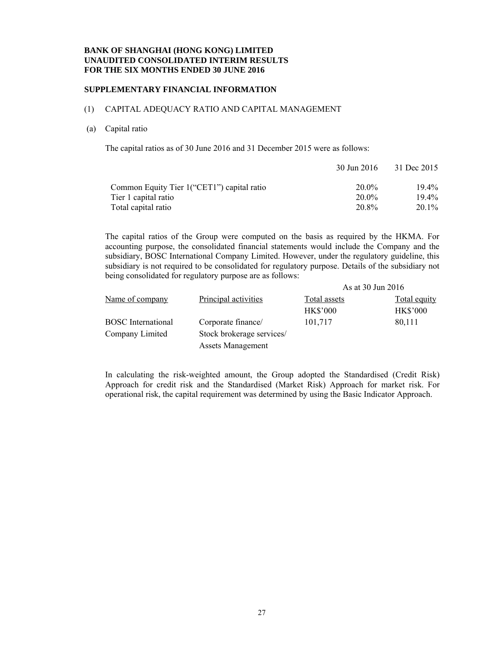#### **SUPPLEMENTARY FINANCIAL INFORMATION**

#### (1) CAPITAL ADEQUACY RATIO AND CAPITAL MANAGEMENT

#### (a) Capital ratio

The capital ratios as of 30 June 2016 and 31 December 2015 were as follows:

|                                             | 30 Jun 2016 | 31 Dec 2015 |
|---------------------------------------------|-------------|-------------|
| Common Equity Tier 1 ("CET1") capital ratio | 20.0%       | $19.4\%$    |
| Tier 1 capital ratio                        | $20.0\%$    | $19.4\%$    |
| Total capital ratio                         | 20.8%       | $20.1\%$    |

The capital ratios of the Group were computed on the basis as required by the HKMA. For accounting purpose, the consolidated financial statements would include the Company and the subsidiary, BOSC International Company Limited. However, under the regulatory guideline, this subsidiary is not required to be consolidated for regulatory purpose. Details of the subsidiary not being consolidated for regulatory purpose are as follows:

|                           |                           | As at 30 Jun 2016 |                     |  |
|---------------------------|---------------------------|-------------------|---------------------|--|
| Name of company           | Principal activities      | Total assets      | <b>Total equity</b> |  |
|                           |                           | <b>HK\$'000</b>   | <b>HK\$'000</b>     |  |
| <b>BOSC</b> International | Corporate finance/        | 101,717           | 80,111              |  |
| Company Limited           | Stock brokerage services/ |                   |                     |  |
|                           | <b>Assets Management</b>  |                   |                     |  |

In calculating the risk-weighted amount, the Group adopted the Standardised (Credit Risk) Approach for credit risk and the Standardised (Market Risk) Approach for market risk. For operational risk, the capital requirement was determined by using the Basic Indicator Approach.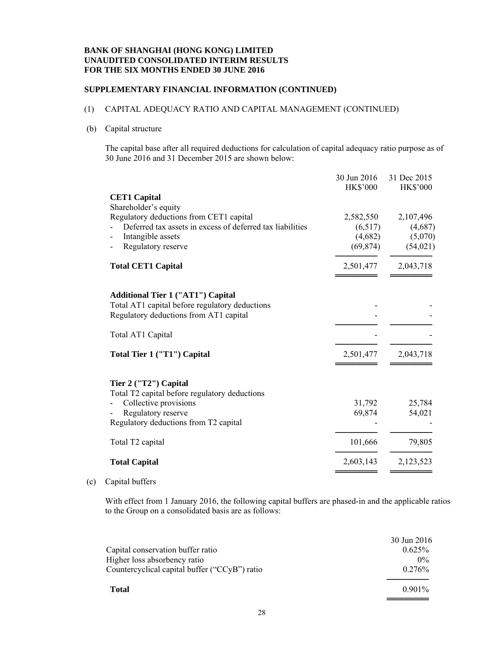#### **SUPPLEMENTARY FINANCIAL INFORMATION (CONTINUED)**

## (1) CAPITAL ADEQUACY RATIO AND CAPITAL MANAGEMENT (CONTINUED)

#### (b) Capital structure

The capital base after all required deductions for calculation of capital adequacy ratio purpose as of 30 June 2016 and 31 December 2015 are shown below:

|                                                                                                                                      | 30 Jun 2016<br><b>HK\$'000</b> | 31 Dec 2015     |
|--------------------------------------------------------------------------------------------------------------------------------------|--------------------------------|-----------------|
| <b>CET1 Capital</b>                                                                                                                  |                                | <b>HK\$'000</b> |
| Shareholder's equity                                                                                                                 |                                |                 |
| Regulatory deductions from CET1 capital                                                                                              | 2,582,550                      | 2,107,496       |
| Deferred tax assets in excess of deferred tax liabilities                                                                            | (6,517)                        | (4,687)         |
| Intangible assets                                                                                                                    | (4,682)                        | (5,070)         |
| Regulatory reserve                                                                                                                   | (69, 874)                      | (54, 021)       |
| <b>Total CET1 Capital</b>                                                                                                            | 2,501,477                      | 2,043,718       |
| <b>Additional Tier 1 ("AT1") Capital</b><br>Total AT1 capital before regulatory deductions<br>Regulatory deductions from AT1 capital |                                |                 |
| Total AT1 Capital                                                                                                                    |                                |                 |
| Total Tier 1 ("T1") Capital                                                                                                          | 2,501,477                      | 2,043,718       |
| Tier 2 ("T2") Capital                                                                                                                |                                |                 |
| Total T2 capital before regulatory deductions                                                                                        |                                |                 |
| Collective provisions                                                                                                                | 31,792                         | 25,784          |
| Regulatory reserve                                                                                                                   | 69,874                         | 54,021          |
| Regulatory deductions from T2 capital                                                                                                |                                |                 |
| Total T2 capital                                                                                                                     | 101,666                        | 79,805          |
| <b>Total Capital</b>                                                                                                                 | 2,603,143                      | 2,123,523       |
|                                                                                                                                      |                                |                 |

# (c) Capital buffers

With effect from 1 January 2016, the following capital buffers are phased-in and the applicable ratios to the Group on a consolidated basis are as follows:

| Capital conservation buffer ratio                                             | 30 Jun 2016<br>$0.625\%$ |
|-------------------------------------------------------------------------------|--------------------------|
| Higher loss absorbency ratio<br>Countercyclical capital buffer ("CCyB") ratio | $0\%$<br>$0.276\%$       |
| <b>Total</b>                                                                  | $0.901\%$                |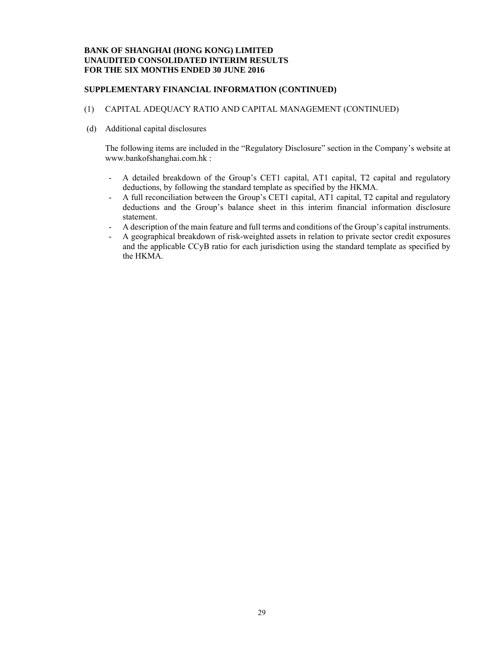#### **SUPPLEMENTARY FINANCIAL INFORMATION (CONTINUED)**

#### (1) CAPITAL ADEQUACY RATIO AND CAPITAL MANAGEMENT (CONTINUED)

(d) Additional capital disclosures

The following items are included in the "Regulatory Disclosure" section in the Company's website at www.bankofshanghai.com.hk :

- A detailed breakdown of the Group's CET1 capital, AT1 capital, T2 capital and regulatory deductions, by following the standard template as specified by the HKMA.
- A full reconciliation between the Group's CET1 capital, AT1 capital, T2 capital and regulatory deductions and the Group's balance sheet in this interim financial information disclosure statement.
- A description of the main feature and full terms and conditions of the Group's capital instruments.
- A geographical breakdown of risk-weighted assets in relation to private sector credit exposures and the applicable CCyB ratio for each jurisdiction using the standard template as specified by the HKMA.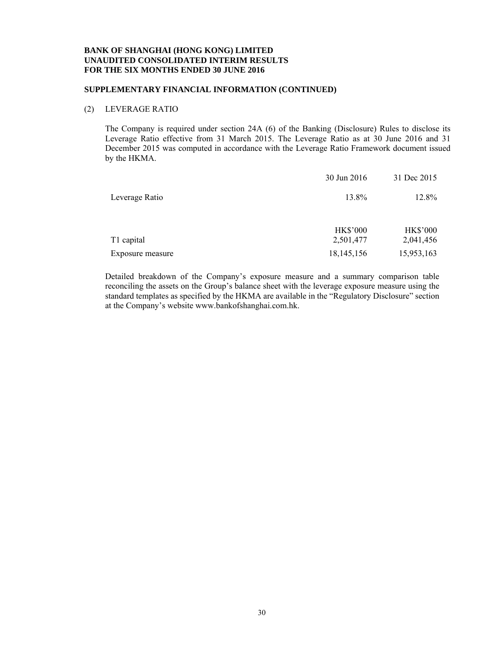#### **SUPPLEMENTARY FINANCIAL INFORMATION (CONTINUED)**

#### (2) LEVERAGE RATIO

The Company is required under section 24A (6) of the Banking (Disclosure) Rules to disclose its Leverage Ratio effective from 31 March 2015. The Leverage Ratio as at 30 June 2016 and 31 December 2015 was computed in accordance with the Leverage Ratio Framework document issued by the HKMA.

|                  | 30 Jun 2016                  | 31 Dec 2015                  |
|------------------|------------------------------|------------------------------|
| Leverage Ratio   | 13.8%                        | 12.8%                        |
| T1 capital       | <b>HK\$'000</b><br>2,501,477 | <b>HK\$'000</b><br>2,041,456 |
| Exposure measure | 18, 145, 156                 | 15,953,163                   |

Detailed breakdown of the Company's exposure measure and a summary comparison table reconciling the assets on the Group's balance sheet with the leverage exposure measure using the standard templates as specified by the HKMA are available in the "Regulatory Disclosure" section at the Company's website www.bankofshanghai.com.hk.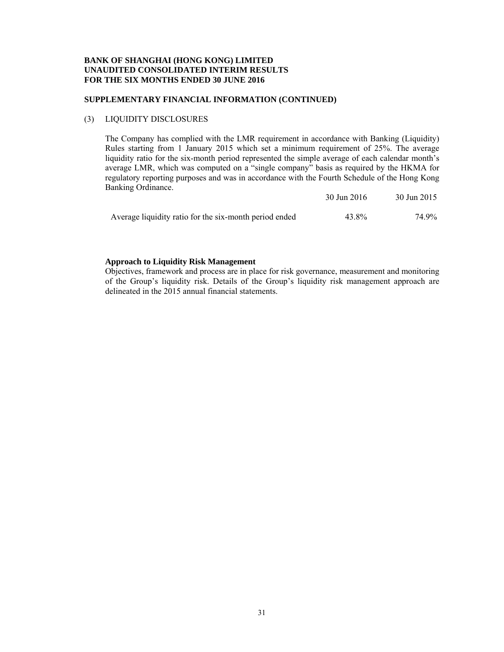## **SUPPLEMENTARY FINANCIAL INFORMATION (CONTINUED)**

#### (3) LIQUIDITY DISCLOSURES

The Company has complied with the LMR requirement in accordance with Banking (Liquidity) Rules starting from 1 January 2015 which set a minimum requirement of 25%. The average liquidity ratio for the six-month period represented the simple average of each calendar month's average LMR, which was computed on a "single company" basis as required by the HKMA for regulatory reporting purposes and was in accordance with the Fourth Schedule of the Hong Kong Banking Ordinance. 30 Jun 2016 30 Jun 2015

|                                                        | $30 \text{ Jun } 2016$ | $30 \text{ Jun } 2013$ |
|--------------------------------------------------------|------------------------|------------------------|
| Average liquidity ratio for the six-month period ended | 43.8%                  | 74.9%                  |

#### **Approach to Liquidity Risk Management**

Objectives, framework and process are in place for risk governance, measurement and monitoring of the Group's liquidity risk. Details of the Group's liquidity risk management approach are delineated in the 2015 annual financial statements.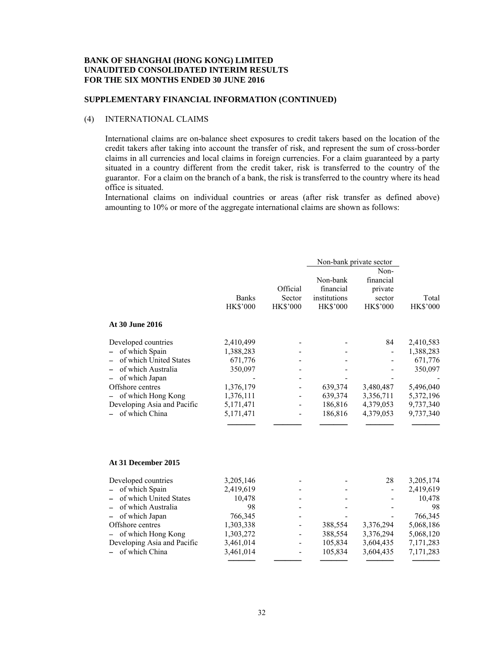#### **SUPPLEMENTARY FINANCIAL INFORMATION (CONTINUED)**

#### (4) INTERNATIONAL CLAIMS

International claims are on-balance sheet exposures to credit takers based on the location of the credit takers after taking into account the transfer of risk, and represent the sum of cross-border claims in all currencies and local claims in foreign currencies. For a claim guaranteed by a party situated in a country different from the credit taker, risk is transferred to the country of the guarantor. For a claim on the branch of a bank, the risk is transferred to the country where its head office is situated.

International claims on individual countries or areas (after risk transfer as defined above) amounting to 10% or more of the aggregate international claims are shown as follows:

|                                        | <b>Banks</b><br><b>HK\$'000</b> | Official<br>Sector<br><b>HK\$'000</b> | Non-bank<br>financial<br>institutions<br><b>HK\$'000</b> | Non-bank private sector<br>Non-<br>financial<br>private<br>sector<br><b>HK\$'000</b> | Total<br><b>HK\$'000</b> |
|----------------------------------------|---------------------------------|---------------------------------------|----------------------------------------------------------|--------------------------------------------------------------------------------------|--------------------------|
| At 30 June 2016                        |                                 |                                       |                                                          |                                                                                      |                          |
| Developed countries                    | 2,410,499                       |                                       |                                                          | 84                                                                                   | 2,410,583                |
| of which Spain                         | 1,388,283                       |                                       |                                                          |                                                                                      | 1,388,283                |
| of which United States                 | 671,776                         |                                       |                                                          |                                                                                      | 671,776                  |
| of which Australia                     | 350,097                         |                                       |                                                          |                                                                                      | 350,097                  |
| of which Japan                         |                                 |                                       |                                                          |                                                                                      |                          |
| Offshore centres<br>of which Hong Kong | 1,376,179<br>1,376,111          |                                       | 639,374<br>639,374                                       | 3,480,487<br>3,356,711                                                               | 5,496,040<br>5,372,196   |
| Developing Asia and Pacific            | 5, 171, 471                     |                                       | 186,816                                                  | 4,379,053                                                                            | 9,737,340                |
| of which China                         | 5, 171, 471                     |                                       | 186,816                                                  | 4,379,053                                                                            | 9,737,340                |
|                                        |                                 |                                       |                                                          |                                                                                      |                          |
| At 31 December 2015                    |                                 |                                       |                                                          |                                                                                      |                          |
| Developed countries                    | 3,205,146                       |                                       |                                                          | 28                                                                                   | 3,205,174                |
| of which Spain                         | 2,419,619                       |                                       |                                                          |                                                                                      | 2,419,619                |
| of which United States                 | 10,478                          |                                       |                                                          |                                                                                      | 10,478                   |
| of which Australia                     | 98                              |                                       |                                                          |                                                                                      | 98                       |
| of which Japan                         | 766,345                         |                                       |                                                          |                                                                                      | 766,345                  |
| Offshore centres<br>of which Hong Kong | 1,303,338                       |                                       | 388,554                                                  | 3,376,294                                                                            | 5,068,186                |
| Developing Asia and Pacific            | 1,303,272<br>3,461,014          |                                       | 388,554<br>105,834                                       | 3,376,294<br>3,604,435                                                               | 5,068,120<br>7,171,283   |
| of which China                         | 3,461,014                       |                                       | 105,834                                                  | 3,604,435                                                                            | 7,171,283                |
|                                        |                                 |                                       |                                                          |                                                                                      |                          |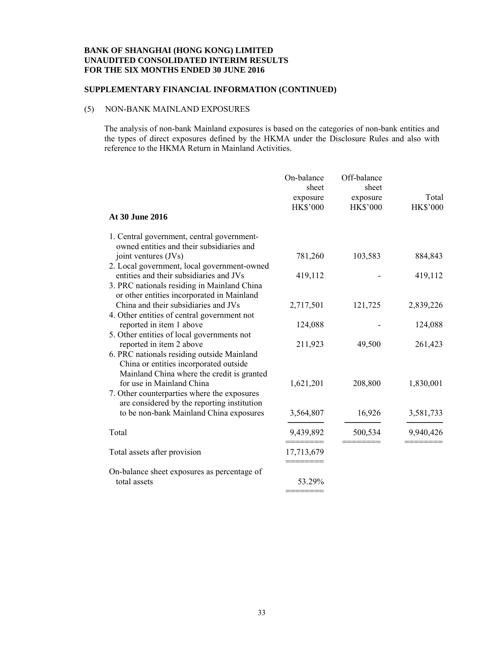#### **SUPPLEMENTARY FINANCIAL INFORMATION (CONTINUED)**

# (5) NON-BANK MAINLAND EXPOSURES

The analysis of non-bank Mainland exposures is based on the categories of non-bank entities and the types of direct exposures defined by the HKMA under the Disclosure Rules and also with reference to the HKMA Return in Mainland Activities.

|                                                                                                                                                                       | On-balance<br>sheet<br>exposure<br><b>HK\$'000</b> | Off-balance<br>sheet<br>exposure<br><b>HK\$'000</b> | Total<br><b>HK\$'000</b> |
|-----------------------------------------------------------------------------------------------------------------------------------------------------------------------|----------------------------------------------------|-----------------------------------------------------|--------------------------|
| At 30 June 2016                                                                                                                                                       |                                                    |                                                     |                          |
| 1. Central government, central government-<br>owned entities and their subsidiaries and                                                                               |                                                    |                                                     |                          |
| joint ventures (JVs)<br>2. Local government, local government-owned                                                                                                   | 781,260                                            | 103,583                                             | 884,843                  |
| entities and their subsidiaries and JVs<br>3. PRC nationals residing in Mainland China<br>or other entities incorporated in Mainland                                  | 419,112                                            |                                                     | 419,112                  |
| China and their subsidiaries and JVs<br>4. Other entities of central government not                                                                                   | 2,717,501                                          | 121,725                                             | 2,839,226                |
| reported in item 1 above                                                                                                                                              | 124,088                                            |                                                     | 124,088                  |
| 5. Other entities of local governments not<br>reported in item 2 above<br>6. PRC nationals residing outside Mainland<br>China or entities incorporated outside        | 211,923                                            | 49,500                                              | 261,423                  |
| Mainland China where the credit is granted<br>for use in Mainland China<br>7. Other counterparties where the exposures<br>are considered by the reporting institution | 1,621,201                                          | 208,800                                             | 1,830,001                |
| to be non-bank Mainland China exposures                                                                                                                               | 3,564,807                                          | 16,926                                              | 3,581,733                |
| Total                                                                                                                                                                 | 9,439,892                                          | 500,534                                             | 9,940,426                |
| Total assets after provision                                                                                                                                          | 17,713,679                                         |                                                     |                          |
| On-balance sheet exposures as percentage of<br>total assets                                                                                                           | 53.29%                                             |                                                     |                          |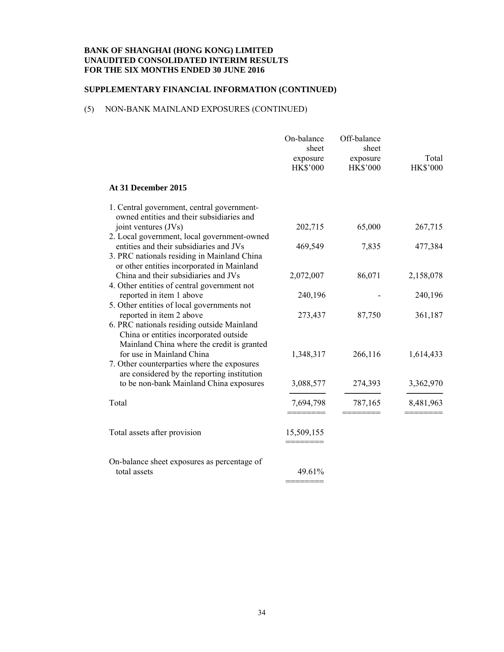#### **SUPPLEMENTARY FINANCIAL INFORMATION (CONTINUED)**

# (5) NON-BANK MAINLAND EXPOSURES (CONTINUED)

|                                                                                                                                                                | On-balance<br>sheet<br>exposure<br><b>HK\$'000</b> | Off-balance<br>sheet<br>exposure<br><b>HK\$'000</b> | Total<br><b>HK\$'000</b> |
|----------------------------------------------------------------------------------------------------------------------------------------------------------------|----------------------------------------------------|-----------------------------------------------------|--------------------------|
| At 31 December 2015                                                                                                                                            |                                                    |                                                     |                          |
| 1. Central government, central government-<br>owned entities and their subsidiaries and<br>joint ventures (JVs)<br>2. Local government, local government-owned | 202,715                                            | 65,000                                              | 267,715                  |
| entities and their subsidiaries and JVs<br>3. PRC nationals residing in Mainland China<br>or other entities incorporated in Mainland                           | 469,549                                            | 7,835                                               | 477,384                  |
| China and their subsidiaries and JVs<br>4. Other entities of central government not                                                                            | 2,072,007                                          | 86,071                                              | 2,158,078                |
| reported in item 1 above<br>5. Other entities of local governments not                                                                                         | 240,196                                            |                                                     | 240,196                  |
| reported in item 2 above<br>6. PRC nationals residing outside Mainland<br>China or entities incorporated outside<br>Mainland China where the credit is granted | 273,437                                            | 87,750                                              | 361,187                  |
| for use in Mainland China<br>7. Other counterparties where the exposures<br>are considered by the reporting institution                                        | 1,348,317                                          | 266,116                                             | 1,614,433                |
| to be non-bank Mainland China exposures                                                                                                                        | 3,088,577                                          | 274,393                                             | 3,362,970                |
| Total                                                                                                                                                          | 7,694,798                                          | 787,165                                             | 8,481,963                |
| Total assets after provision                                                                                                                                   | 15,509,155                                         |                                                     |                          |
| On-balance sheet exposures as percentage of<br>total assets                                                                                                    | 49.61%                                             |                                                     |                          |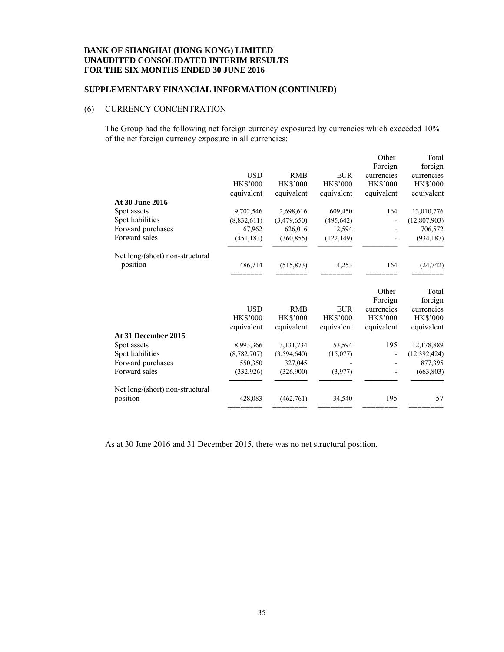#### **SUPPLEMENTARY FINANCIAL INFORMATION (CONTINUED)**

# (6) CURRENCY CONCENTRATION

The Group had the following net foreign currency exposured by currencies which exceeded 10% of the net foreign currency exposure in all currencies:

| At 30 June 2016<br>Spot assets<br>Spot liabilities | <b>USD</b><br><b>HK\$'000</b><br>equivalent<br>9,702,546<br>(8,832,611) | <b>RMB</b><br><b>HK\$'000</b><br>equivalent<br>2,698,616<br>(3,479,650) | <b>EUR</b><br><b>HK\$'000</b><br>equivalent<br>609,450<br>(495, 642) | Other<br>Foreign<br>currencies<br><b>HK\$'000</b><br>equivalent<br>164<br>$\overline{a}$ | Total<br>foreign<br>currencies<br><b>HK\$'000</b><br>equivalent<br>13,010,776<br>(12, 807, 903) |
|----------------------------------------------------|-------------------------------------------------------------------------|-------------------------------------------------------------------------|----------------------------------------------------------------------|------------------------------------------------------------------------------------------|-------------------------------------------------------------------------------------------------|
| Forward purchases                                  | 67,962                                                                  | 626,016                                                                 | 12,594                                                               |                                                                                          | 706,572                                                                                         |
| Forward sales                                      | (451, 183)                                                              | (360, 855)                                                              | (122, 149)                                                           |                                                                                          | (934, 187)                                                                                      |
| Net long/(short) non-structural<br>position        | 486,714                                                                 | (515, 873)                                                              | 4,253                                                                | 164                                                                                      | (24, 742)                                                                                       |
|                                                    | <b>USD</b><br><b>HK\$'000</b>                                           | <b>RMB</b><br><b>HK\$'000</b>                                           | <b>EUR</b><br><b>HK\$'000</b>                                        | Other<br>Foreign<br>currencies<br><b>HK\$'000</b>                                        | Total<br>foreign<br>currencies<br><b>HK\$'000</b>                                               |
|                                                    | equivalent                                                              | equivalent                                                              | equivalent                                                           | equivalent                                                                               | equivalent                                                                                      |
| At 31 December 2015                                |                                                                         |                                                                         |                                                                      |                                                                                          |                                                                                                 |
| Spot assets                                        | 8,993,366                                                               | 3,131,734                                                               | 53,594                                                               | 195                                                                                      | 12,178,889                                                                                      |
| Spot liabilities                                   | (8,782,707)                                                             | (3,594,640)                                                             | (15,077)                                                             |                                                                                          | (12, 392, 424)                                                                                  |
| Forward purchases                                  | 550,350                                                                 | 327,045                                                                 |                                                                      |                                                                                          | 877,395                                                                                         |
| Forward sales                                      | (332, 926)                                                              | (326,900)                                                               | (3,977)                                                              |                                                                                          | (663, 803)                                                                                      |
| Net long/(short) non-structural                    |                                                                         |                                                                         |                                                                      |                                                                                          |                                                                                                 |
| position                                           | 428,083                                                                 | (462,761)                                                               | 34,540                                                               | 195                                                                                      | 57                                                                                              |

As at 30 June 2016 and 31 December 2015, there was no net structural position.